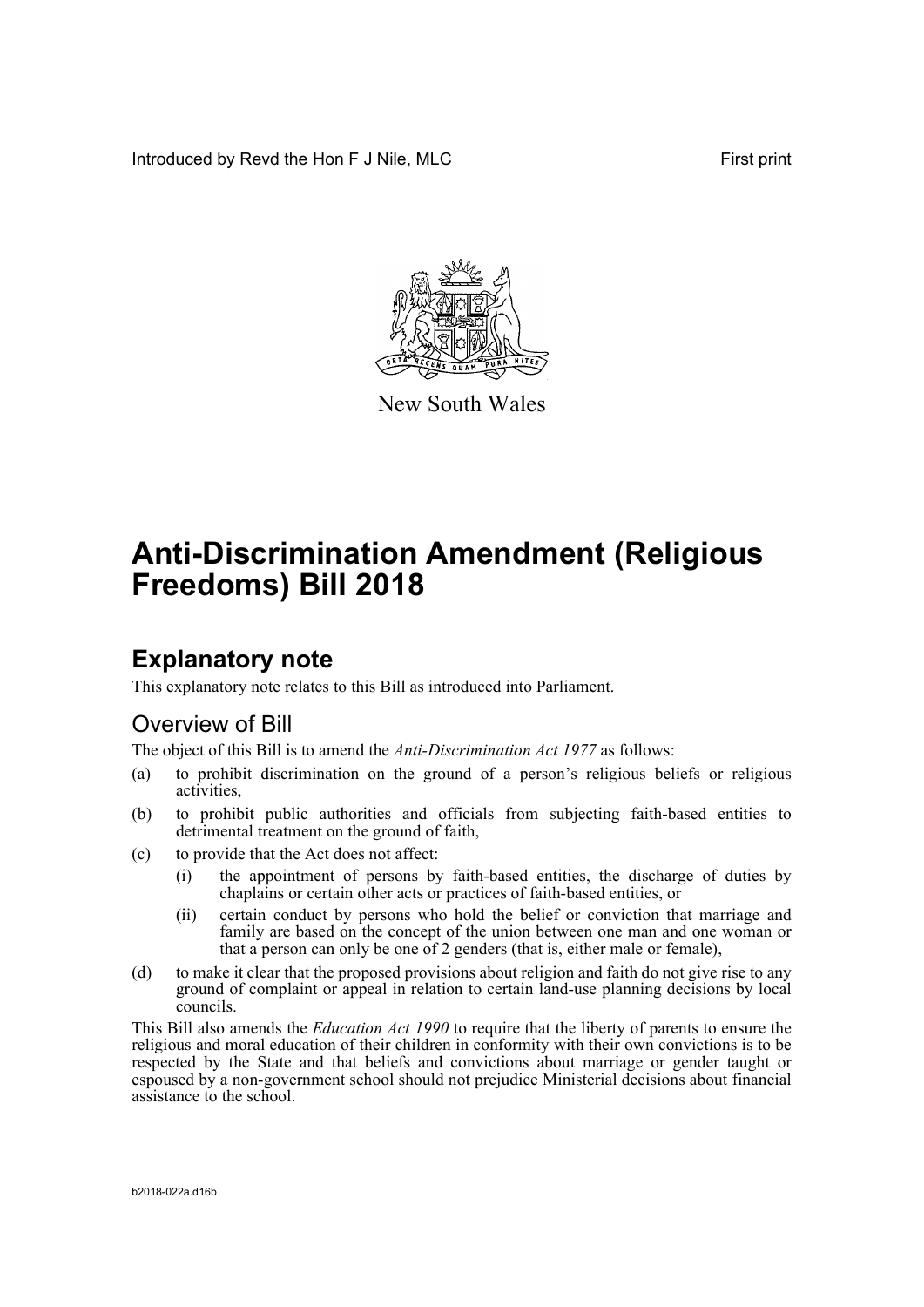Introduced by Revd the Hon F J Nile, MLC **Find the South American** First print



New South Wales

# **Anti-Discrimination Amendment (Religious Freedoms) Bill 2018**

# **Explanatory note**

This explanatory note relates to this Bill as introduced into Parliament.

## Overview of Bill

The object of this Bill is to amend the *Anti-Discrimination Act 1977* as follows:

- (a) to prohibit discrimination on the ground of a person's religious beliefs or religious activities,
- (b) to prohibit public authorities and officials from subjecting faith-based entities to detrimental treatment on the ground of faith,
- (c) to provide that the Act does not affect:
	- (i) the appointment of persons by faith-based entities, the discharge of duties by chaplains or certain other acts or practices of faith-based entities, or
	- (ii) certain conduct by persons who hold the belief or conviction that marriage and family are based on the concept of the union between one man and one woman or that a person can only be one of 2 genders (that is, either male or female),
- (d) to make it clear that the proposed provisions about religion and faith do not give rise to any ground of complaint or appeal in relation to certain land-use planning decisions by local councils.

This Bill also amends the *Education Act 1990* to require that the liberty of parents to ensure the religious and moral education of their children in conformity with their own convictions is to be respected by the State and that beliefs and convictions about marriage or gender taught or espoused by a non-government school should not prejudice Ministerial decisions about financial assistance to the school.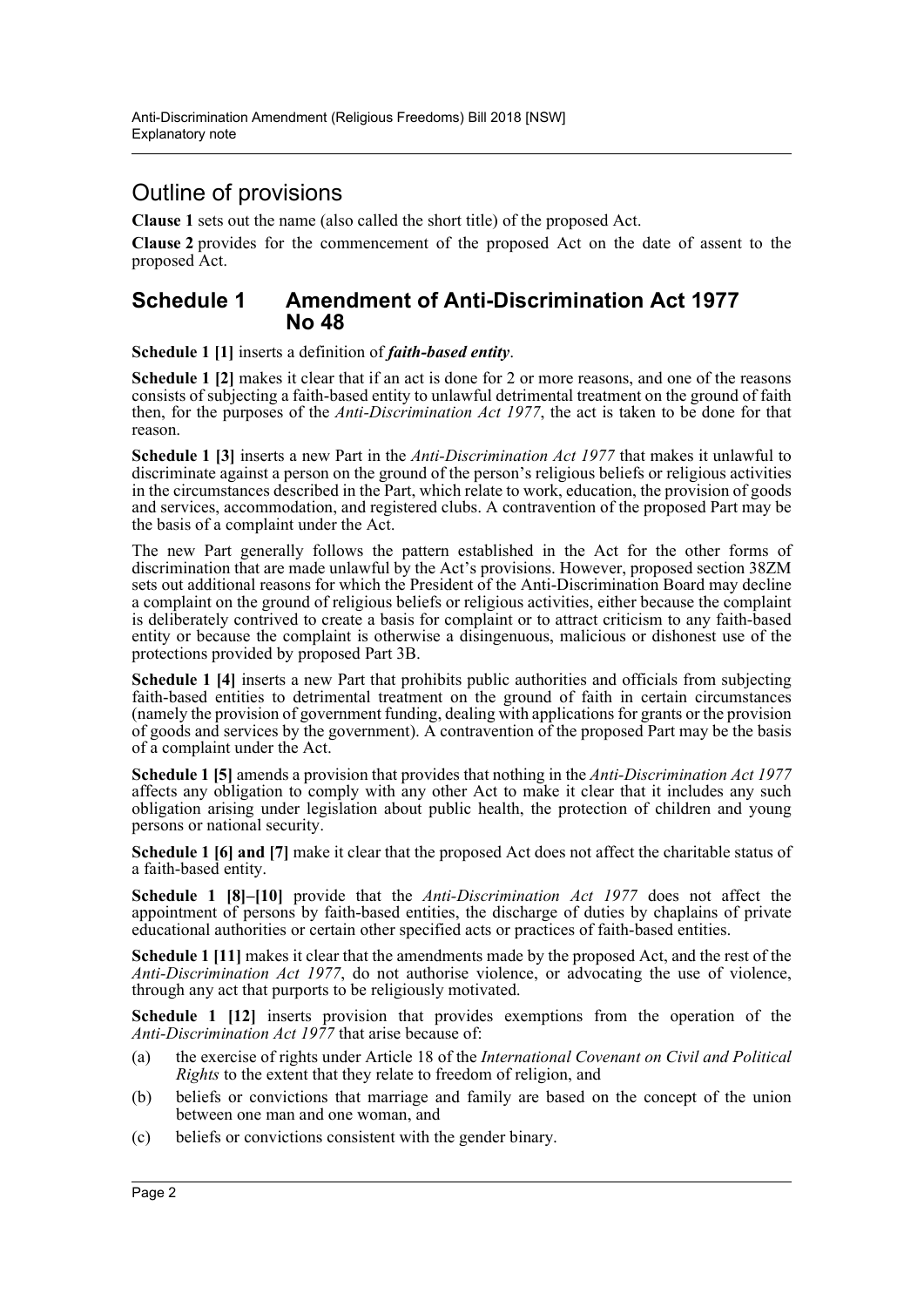## Outline of provisions

**Clause 1** sets out the name (also called the short title) of the proposed Act.

**Clause 2** provides for the commencement of the proposed Act on the date of assent to the proposed Act.

## **Schedule 1 Amendment of Anti-Discrimination Act 1977 No 48**

**Schedule 1 [1]** inserts a definition of *faith-based entity*.

**Schedule 1 [2]** makes it clear that if an act is done for 2 or more reasons, and one of the reasons consists of subjecting a faith-based entity to unlawful detrimental treatment on the ground of faith then, for the purposes of the *Anti-Discrimination Act 1977*, the act is taken to be done for that reason.

**Schedule 1 [3]** inserts a new Part in the *Anti-Discrimination Act 1977* that makes it unlawful to discriminate against a person on the ground of the person's religious beliefs or religious activities in the circumstances described in the Part, which relate to work, education, the provision of goods and services, accommodation, and registered clubs. A contravention of the proposed Part may be the basis of a complaint under the Act.

The new Part generally follows the pattern established in the Act for the other forms of discrimination that are made unlawful by the Act's provisions. However, proposed section 38ZM sets out additional reasons for which the President of the Anti-Discrimination Board may decline a complaint on the ground of religious beliefs or religious activities, either because the complaint is deliberately contrived to create a basis for complaint or to attract criticism to any faith-based entity or because the complaint is otherwise a disingenuous, malicious or dishonest use of the protections provided by proposed Part 3B.

**Schedule 1 [4]** inserts a new Part that prohibits public authorities and officials from subjecting faith-based entities to detrimental treatment on the ground of faith in certain circumstances (namely the provision of government funding, dealing with applications for grants or the provision of goods and services by the government). A contravention of the proposed Part may be the basis of a complaint under the Act.

**Schedule 1 [5]** amends a provision that provides that nothing in the *Anti-Discrimination Act 1977* affects any obligation to comply with any other Act to make it clear that it includes any such obligation arising under legislation about public health, the protection of children and young persons or national security.

**Schedule 1 [6] and [7]** make it clear that the proposed Act does not affect the charitable status of a faith-based entity.

**Schedule 1 [8]–[10]** provide that the *Anti-Discrimination Act 1977* does not affect the appointment of persons by faith-based entities, the discharge of duties by chaplains of private educational authorities or certain other specified acts or practices of faith-based entities.

**Schedule 1 [11]** makes it clear that the amendments made by the proposed Act, and the rest of the *Anti-Discrimination Act 1977*, do not authorise violence, or advocating the use of violence, through any act that purports to be religiously motivated.

**Schedule 1 [12]** inserts provision that provides exemptions from the operation of the *Anti-Discrimination Act 1977* that arise because of:

- (a) the exercise of rights under Article 18 of the *International Covenant on Civil and Political Rights* to the extent that they relate to freedom of religion, and
- (b) beliefs or convictions that marriage and family are based on the concept of the union between one man and one woman, and
- (c) beliefs or convictions consistent with the gender binary.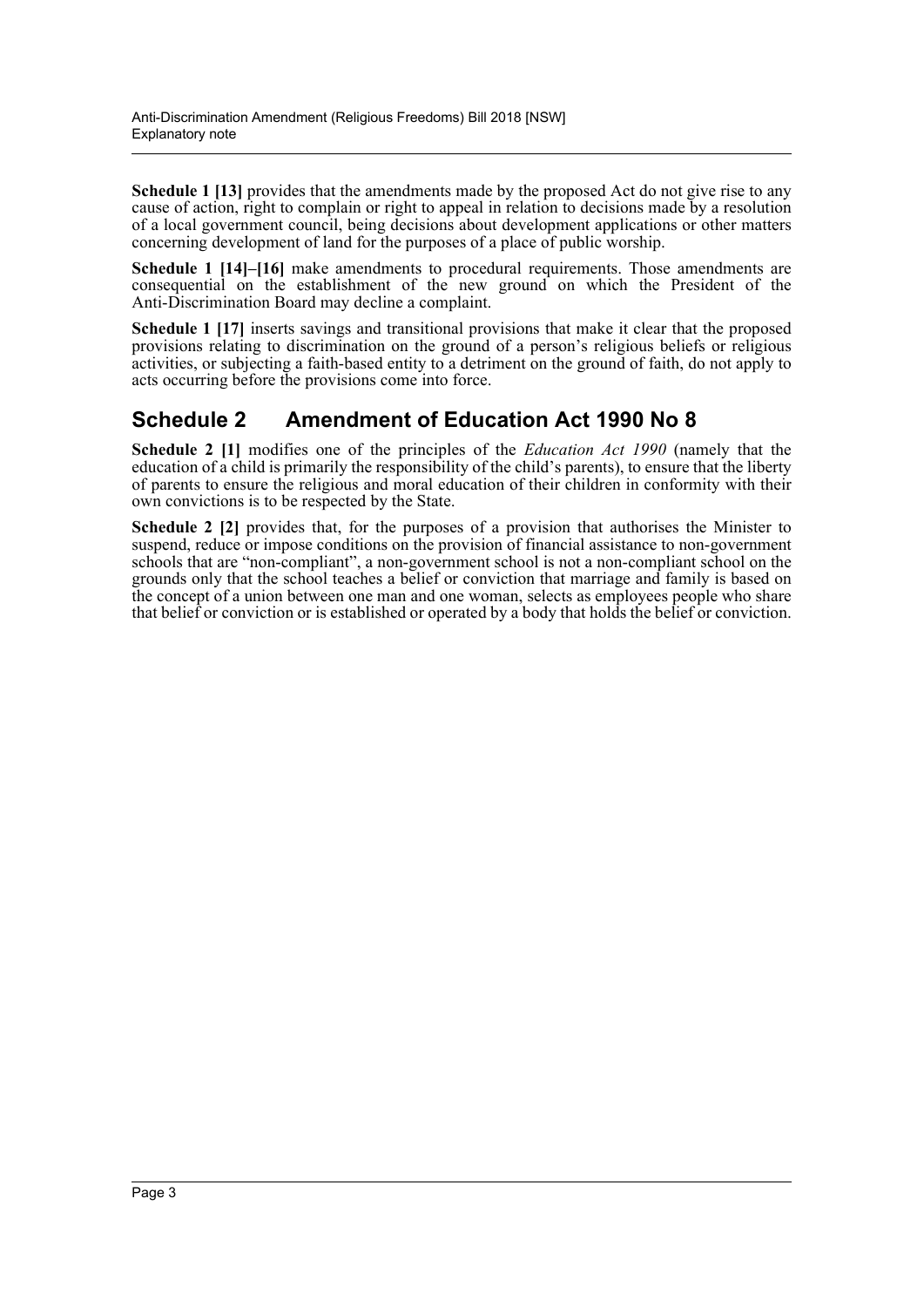**Schedule 1 [13]** provides that the amendments made by the proposed Act do not give rise to any cause of action, right to complain or right to appeal in relation to decisions made by a resolution of a local government council, being decisions about development applications or other matters concerning development of land for the purposes of a place of public worship.

**Schedule 1 [14]–[16]** make amendments to procedural requirements. Those amendments are consequential on the establishment of the new ground on which the President of the Anti-Discrimination Board may decline a complaint.

**Schedule 1 [17]** inserts savings and transitional provisions that make it clear that the proposed provisions relating to discrimination on the ground of a person's religious beliefs or religious activities, or subjecting a faith-based entity to a detriment on the ground of faith, do not apply to acts occurring before the provisions come into force.

## **Schedule 2 Amendment of Education Act 1990 No 8**

**Schedule 2 [1]** modifies one of the principles of the *Education Act 1990* (namely that the education of a child is primarily the responsibility of the child's parents), to ensure that the liberty of parents to ensure the religious and moral education of their children in conformity with their own convictions is to be respected by the State.

**Schedule 2 [2]** provides that, for the purposes of a provision that authorises the Minister to suspend, reduce or impose conditions on the provision of financial assistance to non-government schools that are "non-compliant", a non-government school is not a non-compliant school on the grounds only that the school teaches a belief or conviction that marriage and family is based on the concept of a union between one man and one woman, selects as employees people who share that belief or conviction or is established or operated by a body that holds the belief or conviction.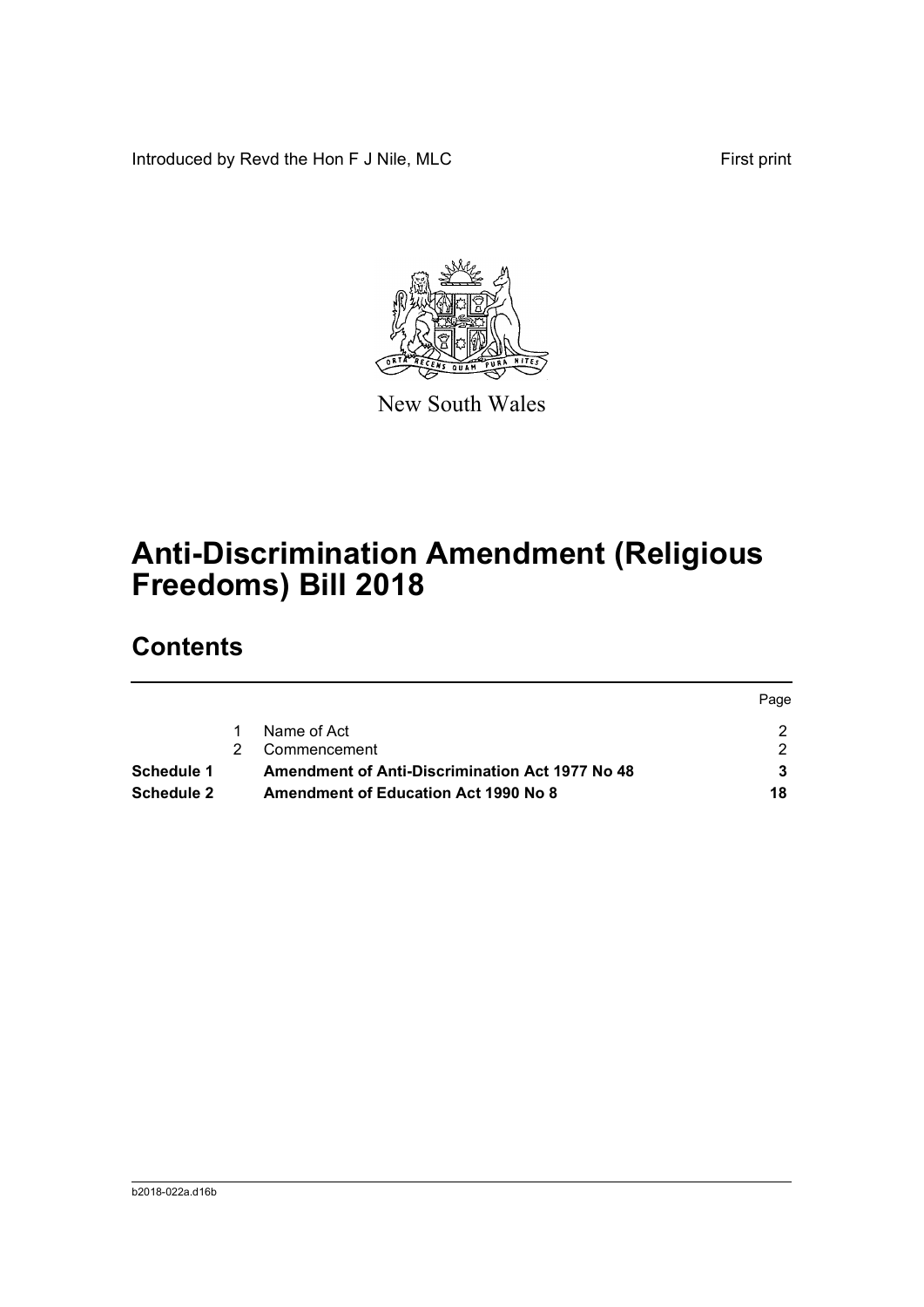Introduced by Revd the Hon F J Nile, MLC First print



New South Wales

# **Anti-Discrimination Amendment (Religious Freedoms) Bill 2018**

# **Contents**

|                   |                                                        | Page |
|-------------------|--------------------------------------------------------|------|
|                   | Name of Act                                            |      |
|                   | Commencement                                           |      |
| Schedule 1        | <b>Amendment of Anti-Discrimination Act 1977 No 48</b> |      |
| <b>Schedule 2</b> | <b>Amendment of Education Act 1990 No 8</b>            | 18   |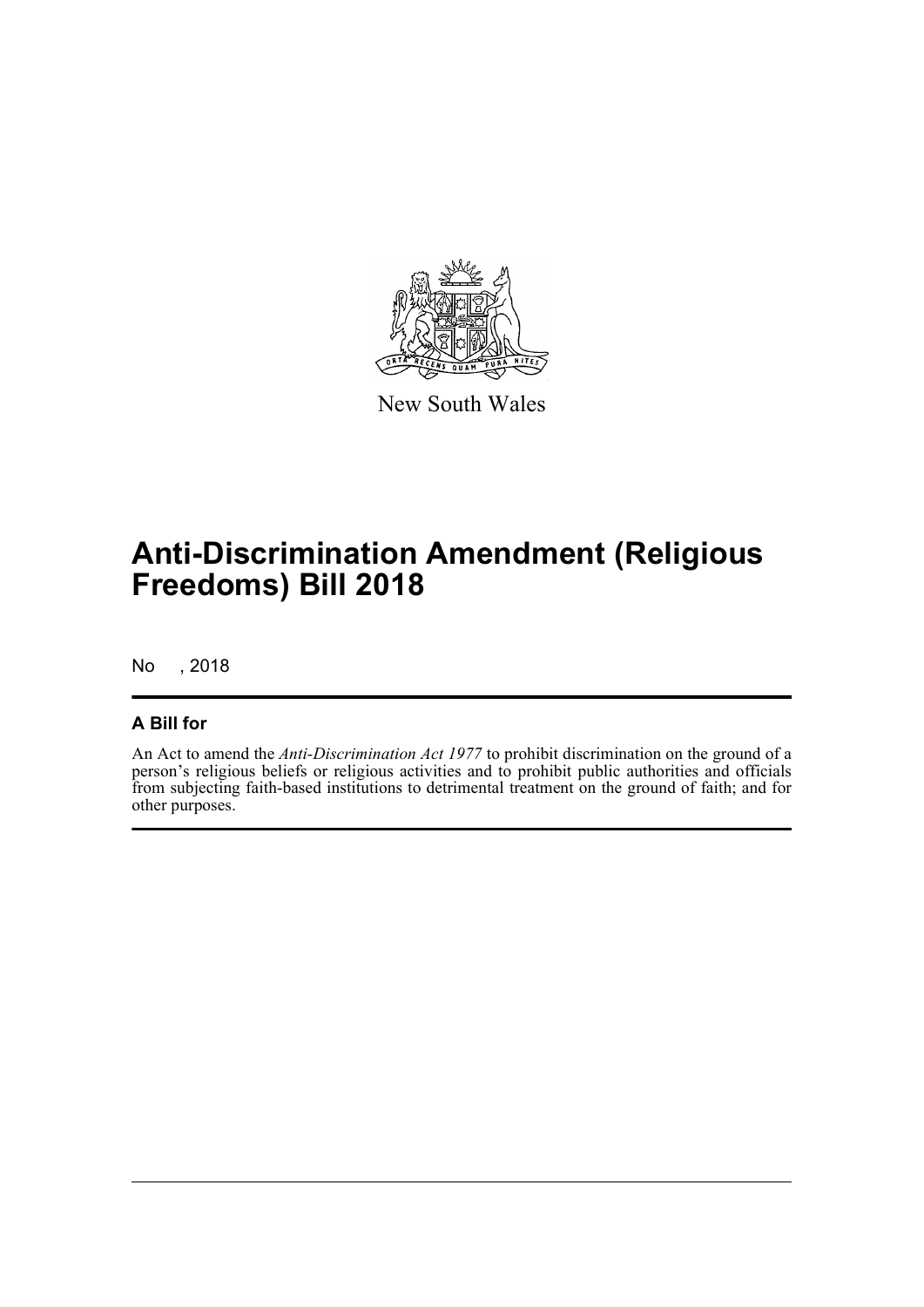

New South Wales

# **Anti-Discrimination Amendment (Religious Freedoms) Bill 2018**

No , 2018

## **A Bill for**

An Act to amend the *Anti-Discrimination Act 1977* to prohibit discrimination on the ground of a person's religious beliefs or religious activities and to prohibit public authorities and officials from subjecting faith-based institutions to detrimental treatment on the ground of faith; and for other purposes.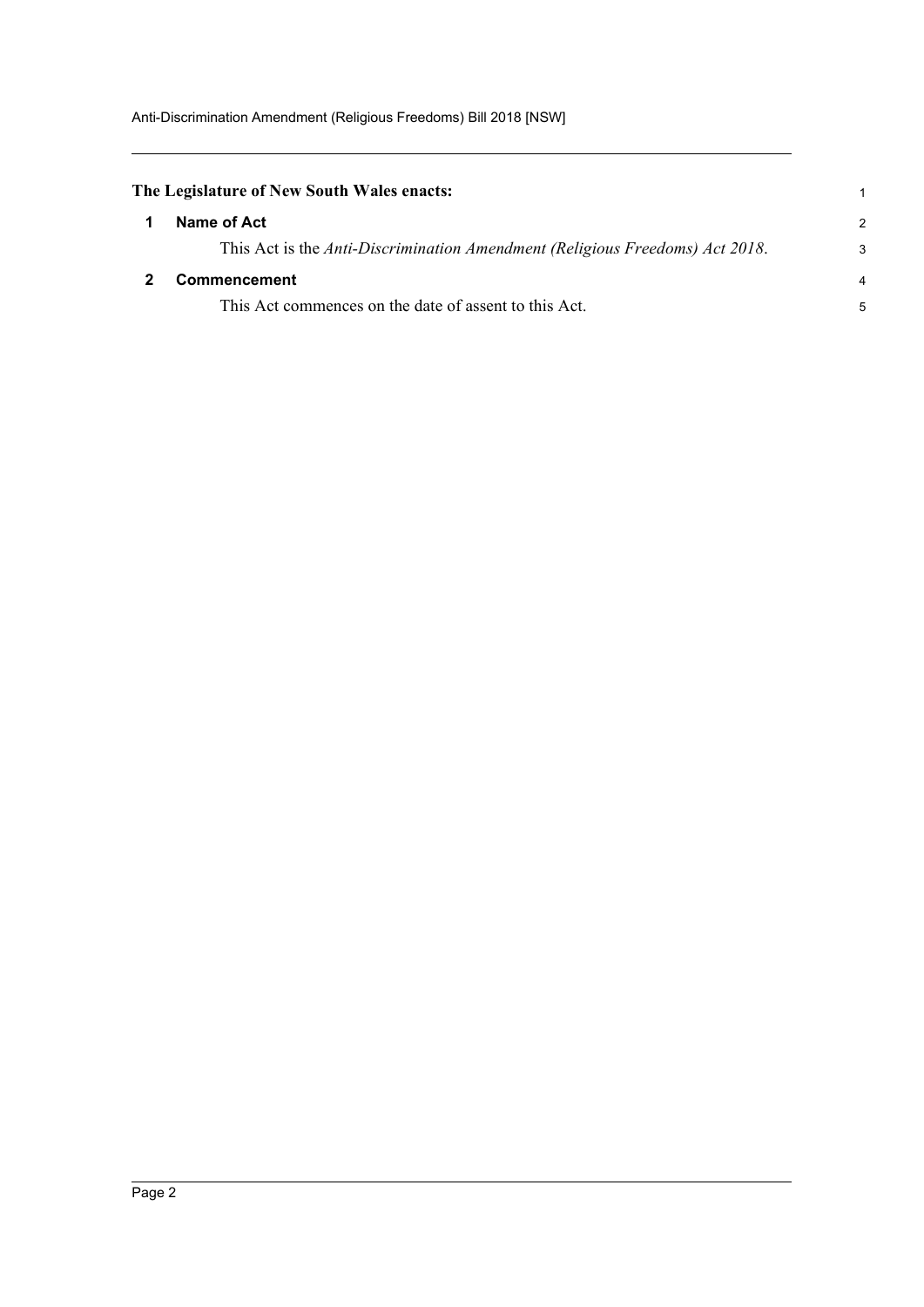<span id="page-5-1"></span><span id="page-5-0"></span>

| The Legislature of New South Wales enacts:                                   |                |
|------------------------------------------------------------------------------|----------------|
| Name of Act                                                                  | $\mathcal{P}$  |
| This Act is the Anti-Discrimination Amendment (Religious Freedoms) Act 2018. | 3              |
| <b>Commencement</b>                                                          | $\overline{4}$ |
| This Act commences on the date of assent to this Act.                        | 5              |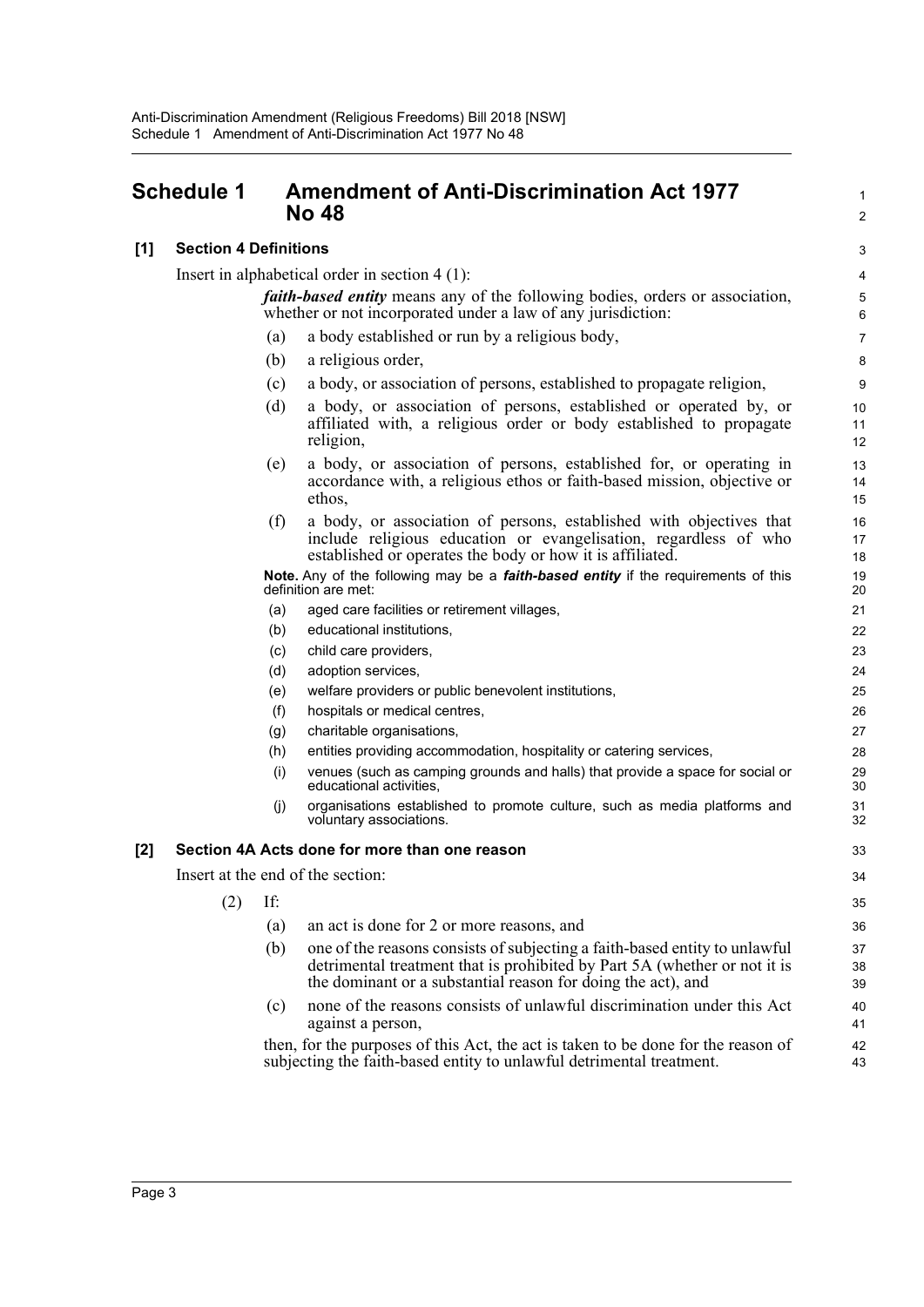## <span id="page-6-0"></span>**Schedule 1 Amendment of Anti-Discrimination Act 1977 No 48**

## **[1] Section 4 Definitions**

Insert in alphabetical order in section 4 (1):

*faith-based entity* means any of the following bodies, orders or association, whether or not incorporated under a law of any jurisdiction:

- (a) a body established or run by a religious body,
- (b) a religious order,
- (c) a body, or association of persons, established to propagate religion,
- (d) a body, or association of persons, established or operated by, or affiliated with, a religious order or body established to propagate religion,
- (e) a body, or association of persons, established for, or operating in accordance with, a religious ethos or faith-based mission, objective or ethos,
- (f) a body, or association of persons, established with objectives that include religious education or evangelisation, regardless of who established or operates the body or how it is affiliated.

| Note. Any of the following may be a <i>faith-based entity</i> if the requirements of this |  |  |  |
|-------------------------------------------------------------------------------------------|--|--|--|
| definition are met:                                                                       |  |  |  |

- (a) aged care facilities or retirement villages,
- (b) educational institutions,
- (c) child care providers,
- (d) adoption services,
- (e) welfare providers or public benevolent institutions,
- (f) hospitals or medical centres,
- (g) charitable organisations,
- (h) entities providing accommodation, hospitality or catering services,
- (i) venues (such as camping grounds and halls) that provide a space for social or educational activities,
- (j) organisations established to promote culture, such as media platforms and voluntary associations.

## **[2] Section 4A Acts done for more than one reason**

Insert at the end of the section:

- (2) If:
	- (a) an act is done for 2 or more reasons, and
	- (b) one of the reasons consists of subjecting a faith-based entity to unlawful detrimental treatment that is prohibited by Part 5A (whether or not it is the dominant or a substantial reason for doing the act), and
	- (c) none of the reasons consists of unlawful discrimination under this Act against a person,

then, for the purposes of this Act, the act is taken to be done for the reason of subjecting the faith-based entity to unlawful detrimental treatment.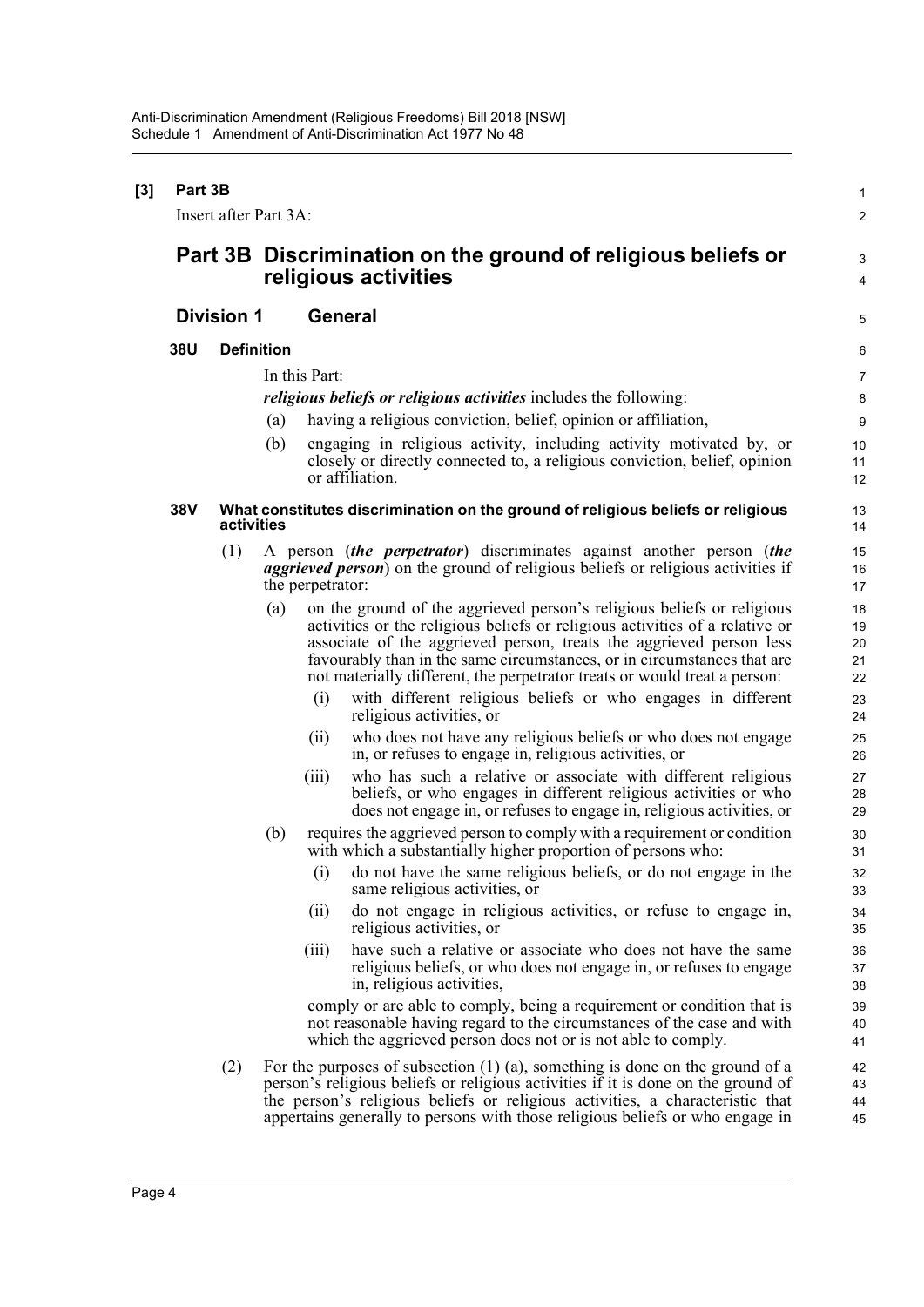| $[3]$ | Part 3B | Insert after Part 3A: |                |                  |                                                                                                                                                                                                                                                                                                                                                                                       | $\mathbf{1}$<br>$\overline{2}$ |  |  |
|-------|---------|-----------------------|----------------|------------------|---------------------------------------------------------------------------------------------------------------------------------------------------------------------------------------------------------------------------------------------------------------------------------------------------------------------------------------------------------------------------------------|--------------------------------|--|--|
|       |         |                       |                |                  | Part 3B Discrimination on the ground of religious beliefs or                                                                                                                                                                                                                                                                                                                          | 3                              |  |  |
|       |         |                       |                |                  | religious activities                                                                                                                                                                                                                                                                                                                                                                  | $\overline{4}$                 |  |  |
|       |         | <b>Division 1</b>     | <b>General</b> |                  |                                                                                                                                                                                                                                                                                                                                                                                       |                                |  |  |
|       | 38U     | <b>Definition</b>     |                |                  |                                                                                                                                                                                                                                                                                                                                                                                       | 6                              |  |  |
|       |         |                       |                | In this Part:    |                                                                                                                                                                                                                                                                                                                                                                                       | 7                              |  |  |
|       |         |                       |                |                  | <i>religious beliefs or religious activities includes the following:</i>                                                                                                                                                                                                                                                                                                              | 8                              |  |  |
|       |         |                       | (a)            |                  | having a religious conviction, belief, opinion or affiliation,                                                                                                                                                                                                                                                                                                                        | 9                              |  |  |
|       |         |                       | (b)            |                  | engaging in religious activity, including activity motivated by, or<br>closely or directly connected to, a religious conviction, belief, opinion<br>or affiliation.                                                                                                                                                                                                                   | 10<br>11<br>12                 |  |  |
|       | 38V     | activities            |                |                  | What constitutes discrimination on the ground of religious beliefs or religious                                                                                                                                                                                                                                                                                                       | 13<br>14                       |  |  |
|       |         | (1)                   |                | the perpetrator: | A person (the perpetrator) discriminates against another person (the<br><i>aggrieved person</i> ) on the ground of religious beliefs or religious activities if                                                                                                                                                                                                                       | 15<br>16<br>17                 |  |  |
|       |         |                       | (a)            |                  | on the ground of the aggrieved person's religious beliefs or religious<br>activities or the religious beliefs or religious activities of a relative or<br>associate of the aggrieved person, treats the aggrieved person less<br>favourably than in the same circumstances, or in circumstances that are<br>not materially different, the perpetrator treats or would treat a person: | 18<br>19<br>20<br>21<br>22     |  |  |
|       |         |                       |                | (i)              | with different religious beliefs or who engages in different<br>religious activities, or                                                                                                                                                                                                                                                                                              | 23<br>24                       |  |  |
|       |         |                       |                | (ii)             | who does not have any religious beliefs or who does not engage<br>in, or refuses to engage in, religious activities, or                                                                                                                                                                                                                                                               | 25<br>26                       |  |  |
|       |         |                       |                | (iii)            | who has such a relative or associate with different religious<br>beliefs, or who engages in different religious activities or who<br>does not engage in, or refuses to engage in, religious activities, or                                                                                                                                                                            | 27<br>28<br>29                 |  |  |
|       |         |                       | (b)            |                  | requires the aggrieved person to comply with a requirement or condition<br>with which a substantially higher proportion of persons who:                                                                                                                                                                                                                                               | 30<br>31                       |  |  |
|       |         |                       |                |                  | (i) do not have the same religious beliefs, or do not engage in the<br>same religious activities, or                                                                                                                                                                                                                                                                                  | 32<br>33                       |  |  |
|       |         |                       |                | (ii)             | do not engage in religious activities, or refuse to engage in,<br>religious activities, or                                                                                                                                                                                                                                                                                            | 34<br>35                       |  |  |
|       |         |                       |                | (111)            | have such a relative or associate who does not have the same<br>religious beliefs, or who does not engage in, or refuses to engage<br>in, religious activities,                                                                                                                                                                                                                       | 36<br>37<br>38                 |  |  |
|       |         |                       |                |                  | comply or are able to comply, being a requirement or condition that is<br>not reasonable having regard to the circumstances of the case and with<br>which the aggrieved person does not or is not able to comply.                                                                                                                                                                     | 39<br>40<br>41                 |  |  |
|       |         | (2)                   |                |                  | For the purposes of subsection $(1)$ $(a)$ , something is done on the ground of a<br>person's religious beliefs or religious activities if it is done on the ground of<br>the person's religious beliefs or religious activities, a characteristic that<br>appertains generally to persons with those religious beliefs or who engage in                                              | 42<br>43<br>44<br>45           |  |  |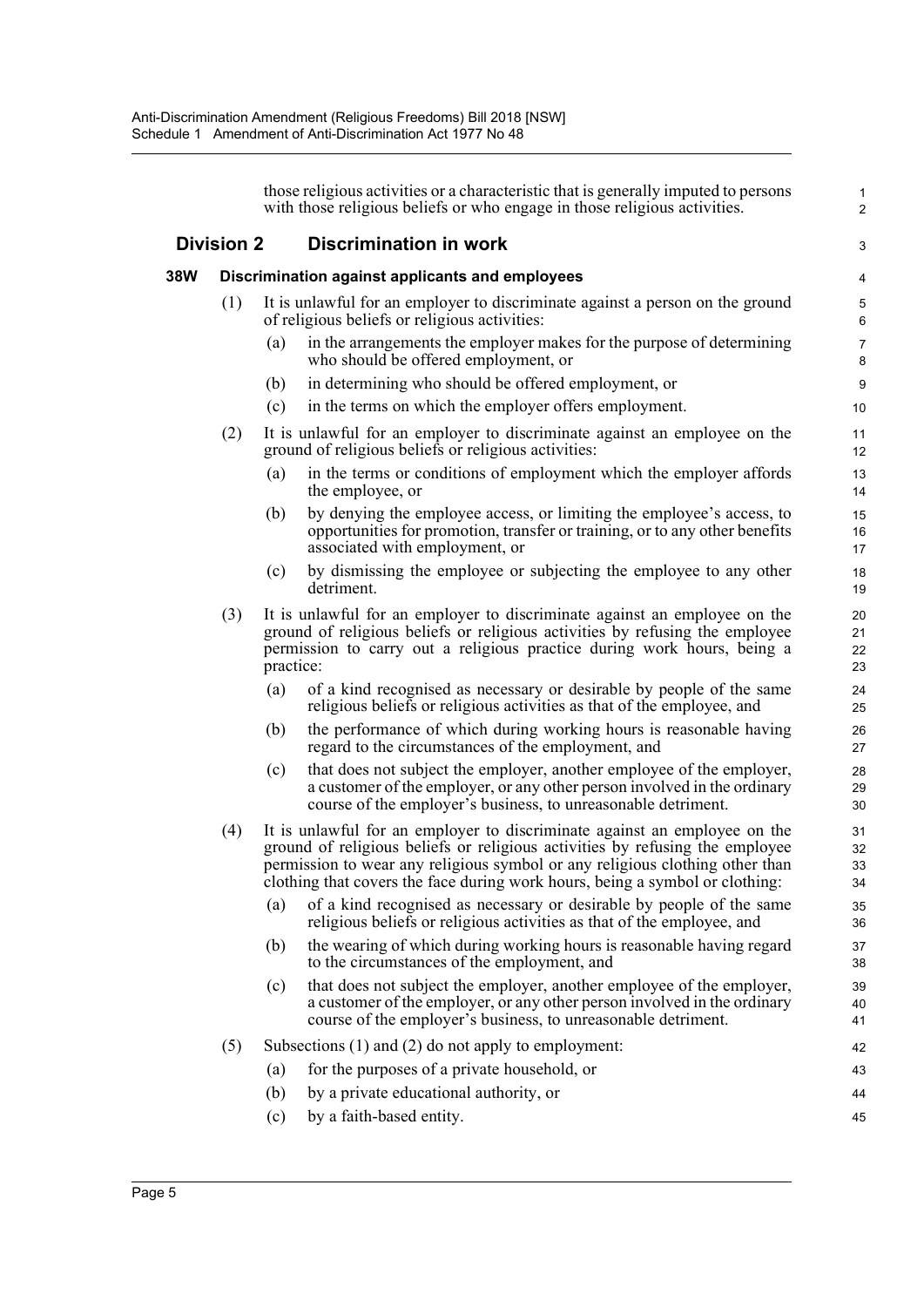|     |                   |           | those religious activities or a characteristic that is generally imputed to persons<br>with those religious beliefs or who engage in those religious activities.                                                                                                                                                          | $\mathbf{1}$<br>$\overline{2}$ |
|-----|-------------------|-----------|---------------------------------------------------------------------------------------------------------------------------------------------------------------------------------------------------------------------------------------------------------------------------------------------------------------------------|--------------------------------|
|     | <b>Division 2</b> |           | <b>Discrimination in work</b>                                                                                                                                                                                                                                                                                             | 3                              |
| 38W |                   |           | Discrimination against applicants and employees                                                                                                                                                                                                                                                                           | 4                              |
|     | (1)               |           | It is unlawful for an employer to discriminate against a person on the ground<br>of religious beliefs or religious activities:                                                                                                                                                                                            | 5<br>6                         |
|     |                   | (a)       | in the arrangements the employer makes for the purpose of determining<br>who should be offered employment, or                                                                                                                                                                                                             | $\overline{7}$<br>$\bf 8$      |
|     |                   | (b)       | in determining who should be offered employment, or                                                                                                                                                                                                                                                                       | $\boldsymbol{9}$               |
|     |                   | (c)       | in the terms on which the employer offers employment.                                                                                                                                                                                                                                                                     | 10                             |
|     | (2)               |           | It is unlawful for an employer to discriminate against an employee on the<br>ground of religious beliefs or religious activities:                                                                                                                                                                                         | 11<br>12                       |
|     |                   | (a)       | in the terms or conditions of employment which the employer affords<br>the employee, or                                                                                                                                                                                                                                   | 13<br>14                       |
|     |                   | (b)       | by denying the employee access, or limiting the employee's access, to<br>opportunities for promotion, transfer or training, or to any other benefits<br>associated with employment, or                                                                                                                                    | 15<br>16<br>17                 |
|     |                   | (c)       | by dismissing the employee or subjecting the employee to any other<br>detriment.                                                                                                                                                                                                                                          | 18<br>19                       |
|     | (3)               | practice: | It is unlawful for an employer to discriminate against an employee on the<br>ground of religious beliefs or religious activities by refusing the employee<br>permission to carry out a religious practice during work hours, being a                                                                                      | 20<br>21<br>22<br>23           |
|     |                   | (a)       | of a kind recognised as necessary or desirable by people of the same<br>religious beliefs or religious activities as that of the employee, and                                                                                                                                                                            | 24<br>25                       |
|     |                   | (b)       | the performance of which during working hours is reasonable having<br>regard to the circumstances of the employment, and                                                                                                                                                                                                  | 26<br>27                       |
|     |                   | (c)       | that does not subject the employer, another employee of the employer,<br>a customer of the employer, or any other person involved in the ordinary<br>course of the employer's business, to unreasonable detriment.                                                                                                        | 28<br>29<br>30                 |
|     | (4)               |           | It is unlawful for an employer to discriminate against an employee on the<br>ground of religious beliefs or religious activities by refusing the employee<br>permission to wear any religious symbol or any religious clothing other than<br>clothing that covers the face during work hours, being a symbol or clothing: | 31<br>32<br>33<br>34           |
|     |                   | (a)       | of a kind recognised as necessary or desirable by people of the same<br>religious beliefs or religious activities as that of the employee, and                                                                                                                                                                            | 35<br>36                       |
|     |                   | (b)       | the wearing of which during working hours is reasonable having regard<br>to the circumstances of the employment, and                                                                                                                                                                                                      | 37<br>38                       |
|     |                   | (c)       | that does not subject the employer, another employee of the employer,<br>a customer of the employer, or any other person involved in the ordinary<br>course of the employer's business, to unreasonable detriment.                                                                                                        | 39<br>40<br>41                 |
|     | (5)               |           | Subsections $(1)$ and $(2)$ do not apply to employment:                                                                                                                                                                                                                                                                   | 42                             |
|     |                   | (a)       | for the purposes of a private household, or                                                                                                                                                                                                                                                                               | 43                             |
|     |                   | (b)       | by a private educational authority, or                                                                                                                                                                                                                                                                                    | 44                             |
|     |                   | (c)       | by a faith-based entity.                                                                                                                                                                                                                                                                                                  | 45                             |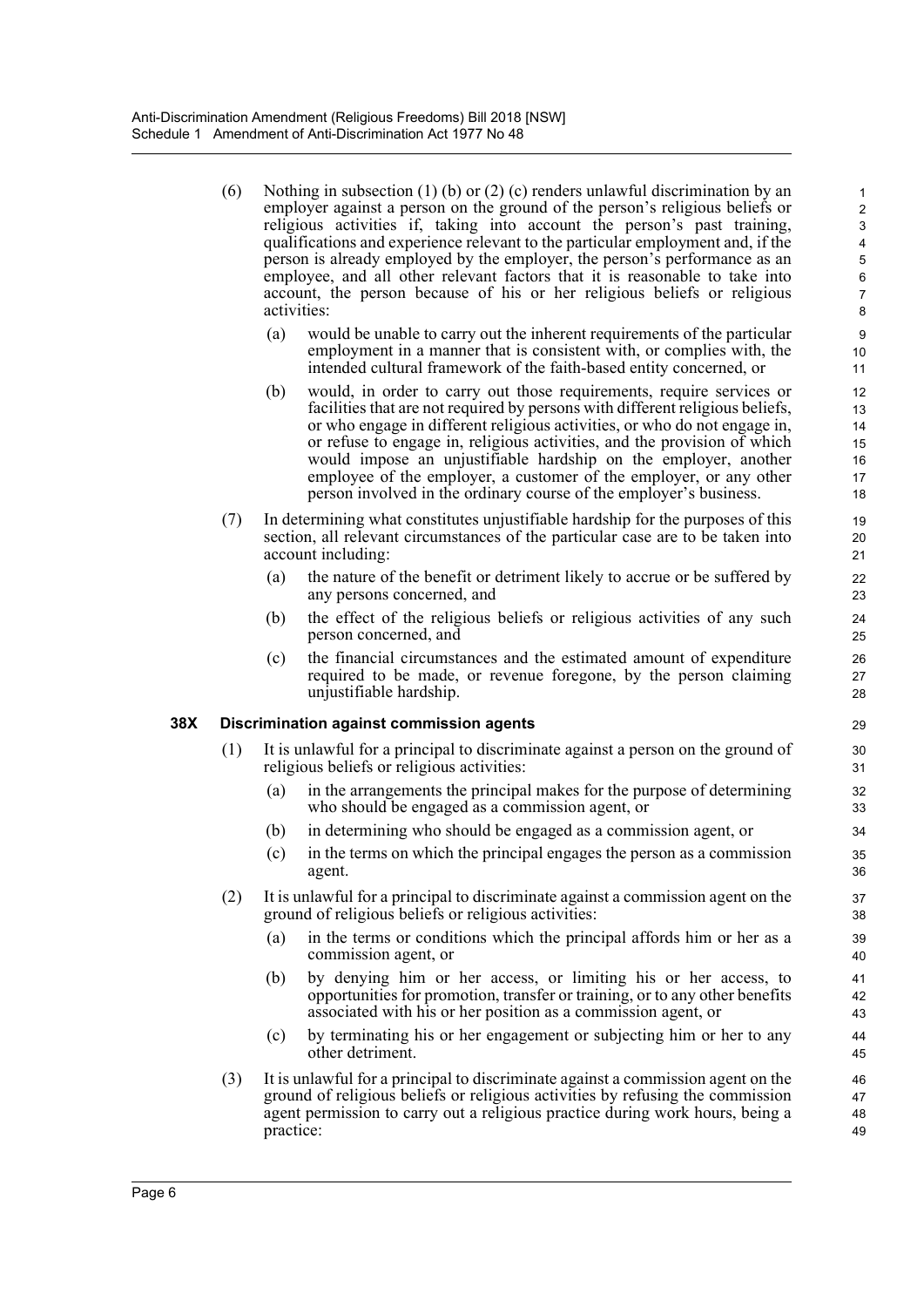(6) Nothing in subsection (1) (b) or (2) (c) renders unlawful discrimination by an employer against a person on the ground of the person's religious beliefs or religious activities if, taking into account the person's past training, qualifications and experience relevant to the particular employment and, if the person is already employed by the employer, the person's performance as an employee, and all other relevant factors that it is reasonable to take into account, the person because of his or her religious beliefs or religious activities: (a) would be unable to carry out the inherent requirements of the particular employment in a manner that is consistent with, or complies with, the intended cultural framework of the faith-based entity concerned, or (b) would, in order to carry out those requirements, require services or facilities that are not required by persons with different religious beliefs, or who engage in different religious activities, or who do not engage in, or refuse to engage in, religious activities, and the provision of which would impose an unjustifiable hardship on the employer, another employee of the employer, a customer of the employer, or any other person involved in the ordinary course of the employer's business. (7) In determining what constitutes unjustifiable hardship for the purposes of this section, all relevant circumstances of the particular case are to be taken into account including: (a) the nature of the benefit or detriment likely to accrue or be suffered by any persons concerned, and (b) the effect of the religious beliefs or religious activities of any such person concerned, and (c) the financial circumstances and the estimated amount of expenditure required to be made, or revenue foregone, by the person claiming unjustifiable hardship. **38X Discrimination against commission agents** (1) It is unlawful for a principal to discriminate against a person on the ground of religious beliefs or religious activities: (a) in the arrangements the principal makes for the purpose of determining who should be engaged as a commission agent, or (b) in determining who should be engaged as a commission agent, or (c) in the terms on which the principal engages the person as a commission agent. (2) It is unlawful for a principal to discriminate against a commission agent on the ground of religious beliefs or religious activities: (a) in the terms or conditions which the principal affords him or her as a commission agent, or (b) by denying him or her access, or limiting his or her access, to opportunities for promotion, transfer or training, or to any other benefits associated with his or her position as a commission agent, or (c) by terminating his or her engagement or subjecting him or her to any other detriment. (3) It is unlawful for a principal to discriminate against a commission agent on the ground of religious beliefs or religious activities by refusing the commission agent permission to carry out a religious practice during work hours, being a 1 2 3 4 5 6 7 8 9 10 11 12 13 14 15 16 17 18 19 20 21 22 23 24 25 26 27 28 29 30 31 32 33 34 35 36 37 38 39 40 41 42 43 44 45 46 47

48 49

practice: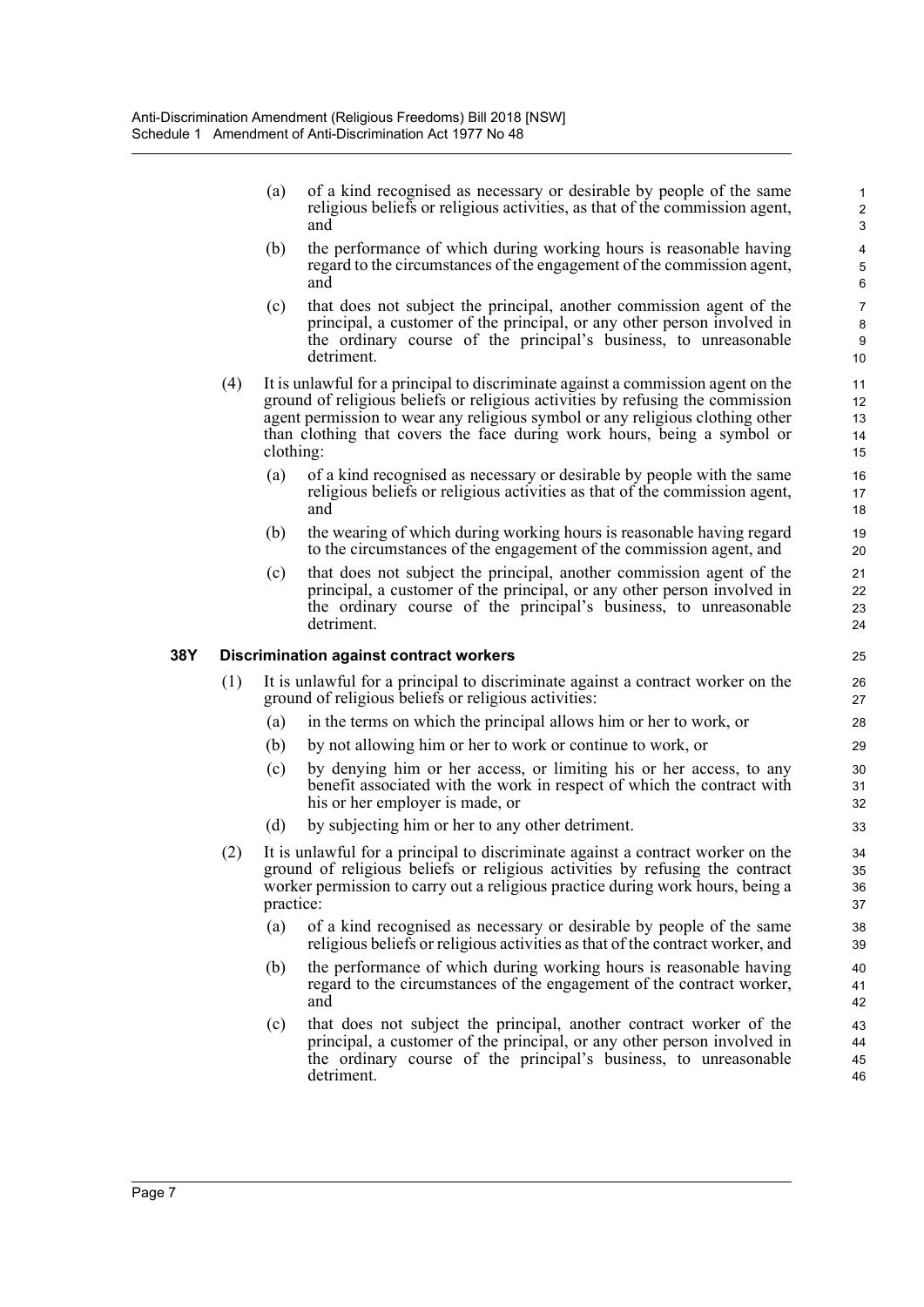(a) of a kind recognised as necessary or desirable by people of the same religious beliefs or religious activities, as that of the commission agent, and

- (b) the performance of which during working hours is reasonable having regard to the circumstances of the engagement of the commission agent, and
- (c) that does not subject the principal, another commission agent of the principal, a customer of the principal, or any other person involved in the ordinary course of the principal's business, to unreasonable detriment.
- (4) It is unlawful for a principal to discriminate against a commission agent on the ground of religious beliefs or religious activities by refusing the commission agent permission to wear any religious symbol or any religious clothing other than clothing that covers the face during work hours, being a symbol or clothing:
	- (a) of a kind recognised as necessary or desirable by people with the same religious beliefs or religious activities as that of the commission agent, and
	- (b) the wearing of which during working hours is reasonable having regard to the circumstances of the engagement of the commission agent, and
	- (c) that does not subject the principal, another commission agent of the principal, a customer of the principal, or any other person involved in the ordinary course of the principal's business, to unreasonable detriment.

## **38Y Discrimination against contract workers**

- (1) It is unlawful for a principal to discriminate against a contract worker on the ground of religious beliefs or religious activities:
	- (a) in the terms on which the principal allows him or her to work, or
	- (b) by not allowing him or her to work or continue to work, or
	- (c) by denying him or her access, or limiting his or her access, to any benefit associated with the work in respect of which the contract with his or her employer is made, or
	- (d) by subjecting him or her to any other detriment.
- (2) It is unlawful for a principal to discriminate against a contract worker on the ground of religious beliefs or religious activities by refusing the contract worker permission to carry out a religious practice during work hours, being a practice:
	- (a) of a kind recognised as necessary or desirable by people of the same religious beliefs or religious activities as that of the contract worker, and
	- (b) the performance of which during working hours is reasonable having regard to the circumstances of the engagement of the contract worker, and
	- (c) that does not subject the principal, another contract worker of the principal, a customer of the principal, or any other person involved in the ordinary course of the principal's business, to unreasonable detriment.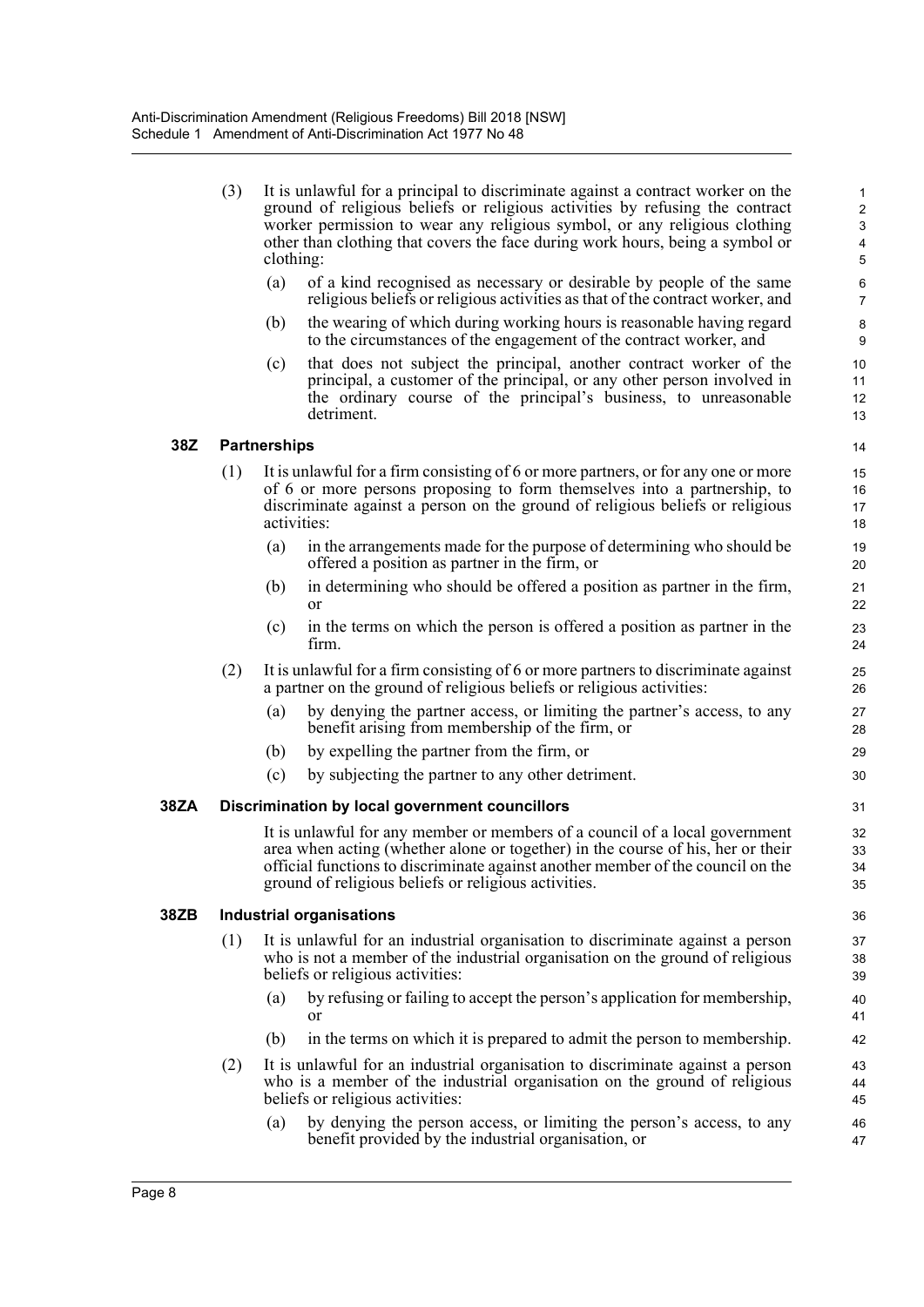| (3) | It is unlawful for a principal to discriminate against a contract worker on the<br>ground of religious beliefs or religious activities by refusing the contract<br>worker permission to wear any religious symbol, or any religious clothing<br>other than clothing that covers the face during work hours, being a symbol or |
|-----|-------------------------------------------------------------------------------------------------------------------------------------------------------------------------------------------------------------------------------------------------------------------------------------------------------------------------------|
|     | clothing:                                                                                                                                                                                                                                                                                                                     |
|     | .                                                                                                                                                                                                                                                                                                                             |

- (a) of a kind recognised as necessary or desirable by people of the same religious beliefs or religious activities as that of the contract worker, and
- (b) the wearing of which during working hours is reasonable having regard to the circumstances of the engagement of the contract worker, and
- (c) that does not subject the principal, another contract worker of the principal, a customer of the principal, or any other person involved in the ordinary course of the principal's business, to unreasonable detriment.

## **38Z Partnerships**

- (1) It is unlawful for a firm consisting of 6 or more partners, or for any one or more of 6 or more persons proposing to form themselves into a partnership, to discriminate against a person on the ground of religious beliefs or religious activities:
	- (a) in the arrangements made for the purpose of determining who should be offered a position as partner in the firm, or
	- (b) in determining who should be offered a position as partner in the firm, or
	- (c) in the terms on which the person is offered a position as partner in the firm.
- (2) It is unlawful for a firm consisting of 6 or more partners to discriminate against a partner on the ground of religious beliefs or religious activities:
	- (a) by denying the partner access, or limiting the partner's access, to any benefit arising from membership of the firm, or
	- (b) by expelling the partner from the firm, or
	- (c) by subjecting the partner to any other detriment.

#### **38ZA Discrimination by local government councillors**

It is unlawful for any member or members of a council of a local government area when acting (whether alone or together) in the course of his, her or their official functions to discriminate against another member of the council on the ground of religious beliefs or religious activities.

#### **38ZB Industrial organisations**

- (1) It is unlawful for an industrial organisation to discriminate against a person who is not a member of the industrial organisation on the ground of religious beliefs or religious activities:
	- (a) by refusing or failing to accept the person's application for membership, or
	- (b) in the terms on which it is prepared to admit the person to membership.
- (2) It is unlawful for an industrial organisation to discriminate against a person who is a member of the industrial organisation on the ground of religious beliefs or religious activities:
	- (a) by denying the person access, or limiting the person's access, to any benefit provided by the industrial organisation, or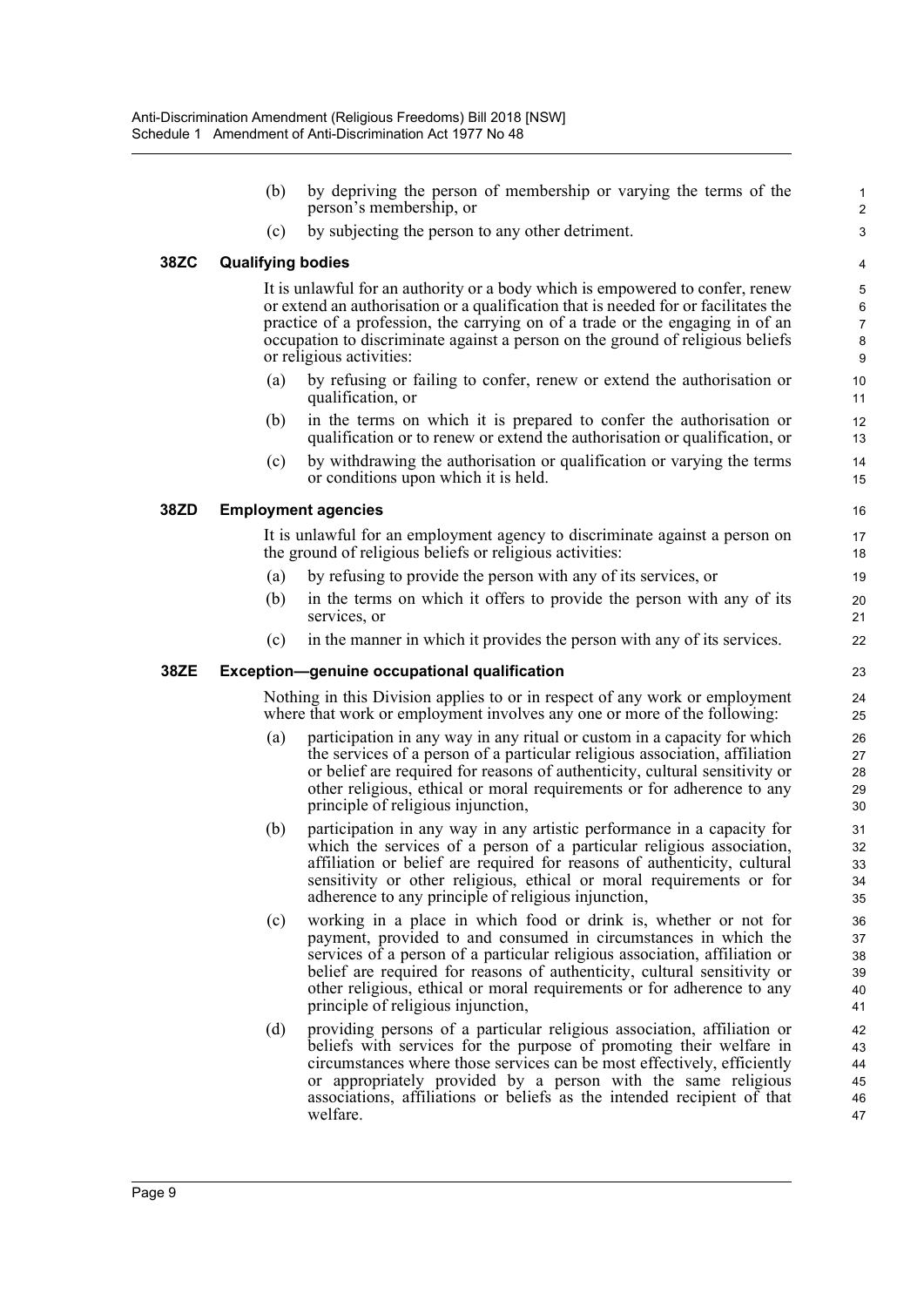(b) by depriving the person of membership or varying the terms of the person's membership, or (c) by subjecting the person to any other detriment. **38ZC Qualifying bodies** It is unlawful for an authority or a body which is empowered to confer, renew or extend an authorisation or a qualification that is needed for or facilitates the practice of a profession, the carrying on of a trade or the engaging in of an occupation to discriminate against a person on the ground of religious beliefs or religious activities: (a) by refusing or failing to confer, renew or extend the authorisation or qualification, or (b) in the terms on which it is prepared to confer the authorisation or qualification or to renew or extend the authorisation or qualification, or (c) by withdrawing the authorisation or qualification or varying the terms or conditions upon which it is held. **38ZD Employment agencies** It is unlawful for an employment agency to discriminate against a person on the ground of religious beliefs or religious activities: (a) by refusing to provide the person with any of its services, or (b) in the terms on which it offers to provide the person with any of its services, or (c) in the manner in which it provides the person with any of its services. **38ZE Exception—genuine occupational qualification** Nothing in this Division applies to or in respect of any work or employment where that work or employment involves any one or more of the following: (a) participation in any way in any ritual or custom in a capacity for which the services of a person of a particular religious association, affiliation or belief are required for reasons of authenticity, cultural sensitivity or other religious, ethical or moral requirements or for adherence to any principle of religious injunction, (b) participation in any way in any artistic performance in a capacity for which the services of a person of a particular religious association, affiliation or belief are required for reasons of authenticity, cultural sensitivity or other religious, ethical or moral requirements or for adherence to any principle of religious injunction, (c) working in a place in which food or drink is, whether or not for payment, provided to and consumed in circumstances in which the services of a person of a particular religious association, affiliation or belief are required for reasons of authenticity, cultural sensitivity or other religious, ethical or moral requirements or for adherence to any principle of religious injunction, (d) providing persons of a particular religious association, affiliation or beliefs with services for the purpose of promoting their welfare in circumstances where those services can be most effectively, efficiently or appropriately provided by a person with the same religious associations, affiliations or beliefs as the intended recipient of that welfare. 1 2 3 4 5 6 7 8 9 10 11 12 13 14 15 16 17 18 19 20 21 22 23 24 25  $26$ 27 28 29 30 31 32 33 34 35 36 37 38 39  $40$ 41 42 43 44 45 46 47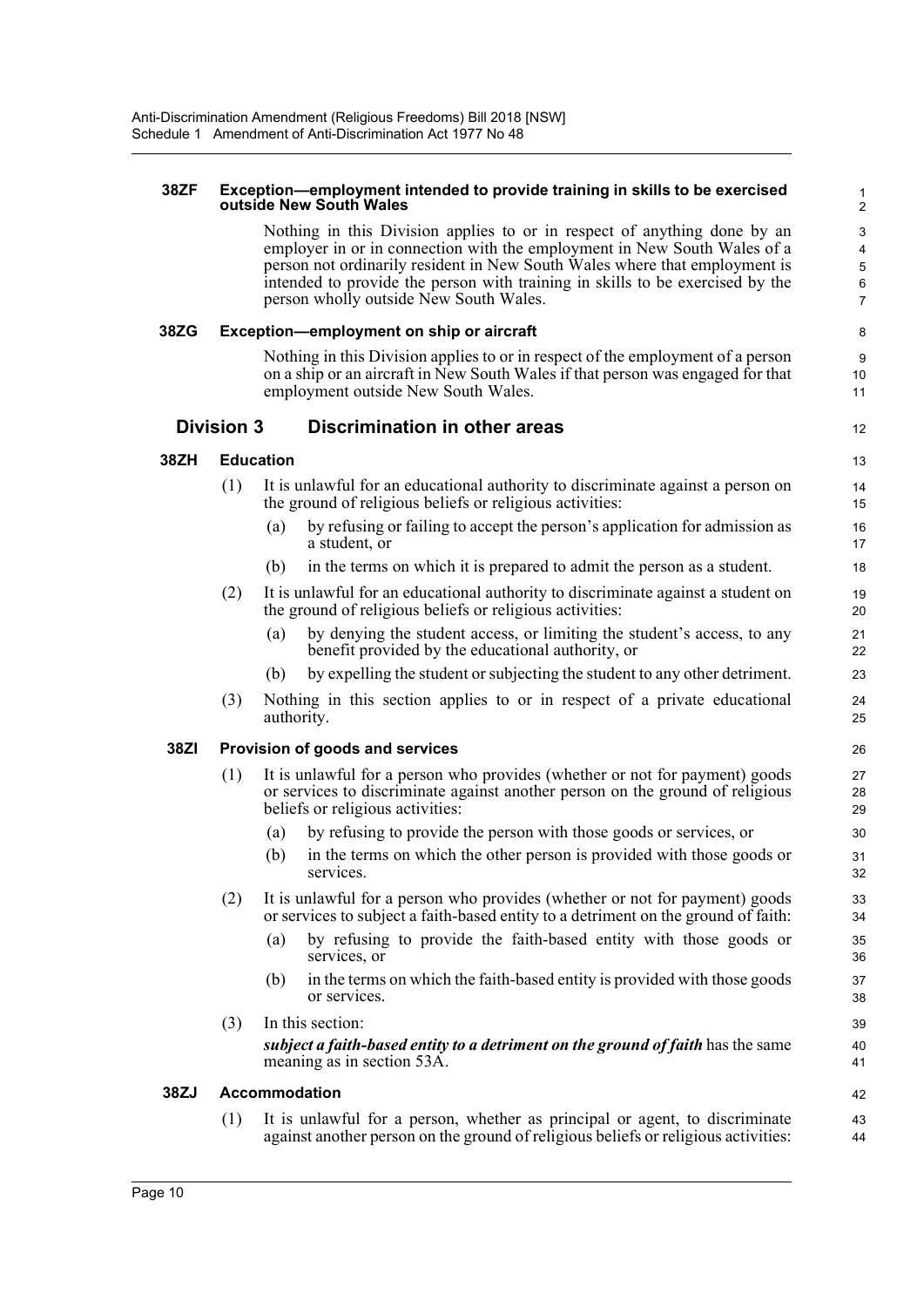#### **38ZF Exception—employment intended to provide training in skills to be exercised outside New South Wales**

Nothing in this Division applies to or in respect of anything done by an employer in or in connection with the employment in New South Wales of a person not ordinarily resident in New South Wales where that employment is intended to provide the person with training in skills to be exercised by the person wholly outside New South Wales.

12

#### **38ZG Exception—employment on ship or aircraft**

Nothing in this Division applies to or in respect of the employment of a person on a ship or an aircraft in New South Wales if that person was engaged for that employment outside New South Wales.

## **Division 3 Discrimination in other areas**

## **38ZH Education**

- (1) It is unlawful for an educational authority to discriminate against a person on the ground of religious beliefs or religious activities:
	- (a) by refusing or failing to accept the person's application for admission as a student, or
	- (b) in the terms on which it is prepared to admit the person as a student.
- (2) It is unlawful for an educational authority to discriminate against a student on the ground of religious beliefs or religious activities:
	- (a) by denying the student access, or limiting the student's access, to any benefit provided by the educational authority, or
	- (b) by expelling the student or subjecting the student to any other detriment.
- (3) Nothing in this section applies to or in respect of a private educational authority.

## **38ZI Provision of goods and services**

- (1) It is unlawful for a person who provides (whether or not for payment) goods or services to discriminate against another person on the ground of religious beliefs or religious activities:
	- (a) by refusing to provide the person with those goods or services, or
	- (b) in the terms on which the other person is provided with those goods or services.
- (2) It is unlawful for a person who provides (whether or not for payment) goods or services to subject a faith-based entity to a detriment on the ground of faith:
	- (a) by refusing to provide the faith-based entity with those goods or services, or
	- (b) in the terms on which the faith-based entity is provided with those goods or services.

## (3) In this section: *subject a faith-based entity to a detriment on the ground of faith* has the same meaning as in section 53A.

#### **38ZJ Accommodation**

(1) It is unlawful for a person, whether as principal or agent, to discriminate against another person on the ground of religious beliefs or religious activities: 43 44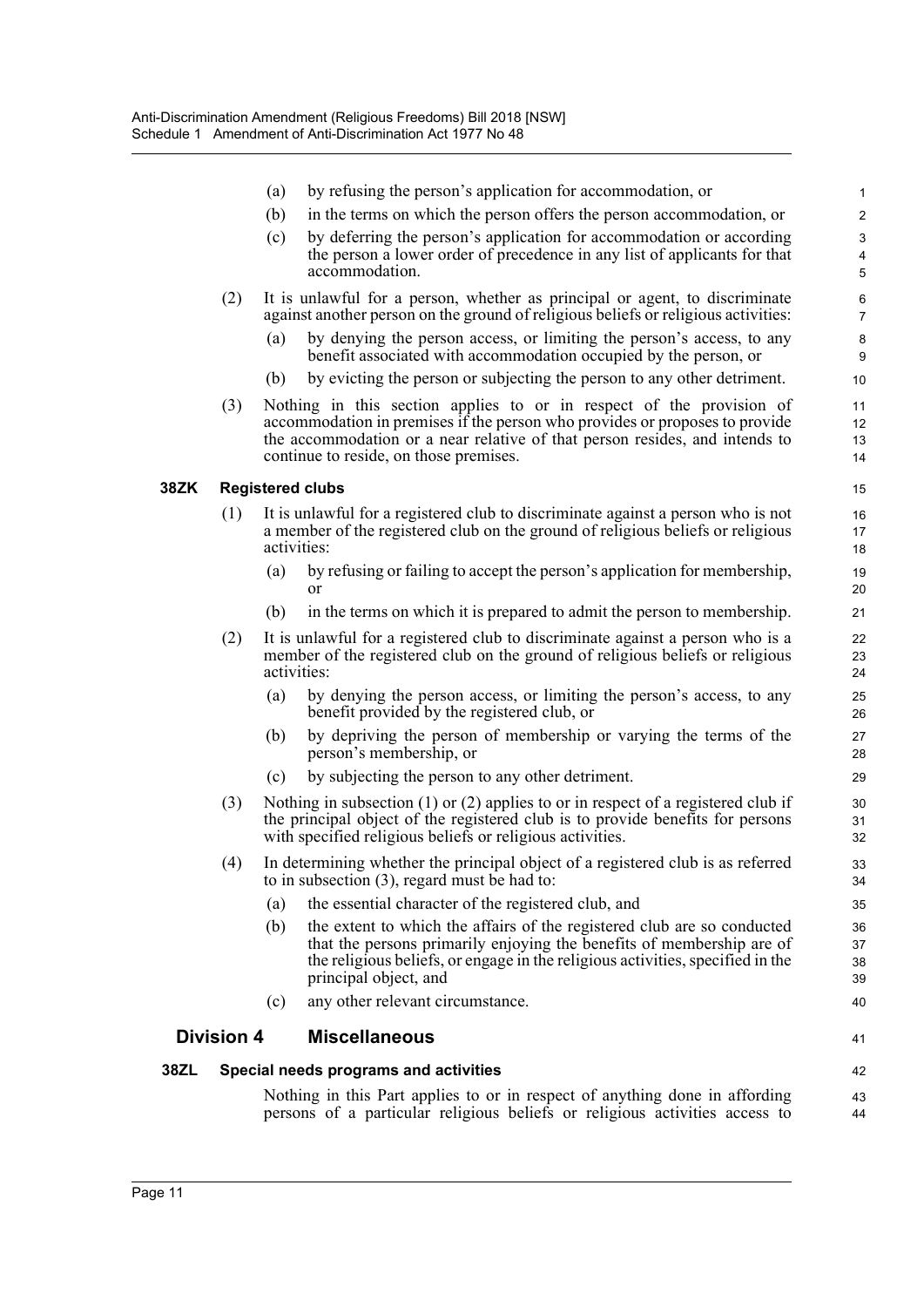|     |                   | (a) | by refusing the person's application for accommodation, or                                                                                                                                                                                                                   | 1                    |
|-----|-------------------|-----|------------------------------------------------------------------------------------------------------------------------------------------------------------------------------------------------------------------------------------------------------------------------------|----------------------|
|     |                   | (b) | in the terms on which the person offers the person accommodation, or                                                                                                                                                                                                         | $\overline{c}$       |
|     |                   | (c) | by deferring the person's application for accommodation or according<br>the person a lower order of precedence in any list of applicants for that                                                                                                                            | 3<br>$\overline{4}$  |
|     |                   |     | accommodation.                                                                                                                                                                                                                                                               | 5                    |
|     | (2)               |     | It is unlawful for a person, whether as principal or agent, to discriminate<br>against another person on the ground of religious beliefs or religious activities:                                                                                                            | 6<br>7               |
|     |                   | (a) | by denying the person access, or limiting the person's access, to any<br>benefit associated with accommodation occupied by the person, or                                                                                                                                    | 8<br>9               |
|     |                   | (b) | by evicting the person or subjecting the person to any other detriment.                                                                                                                                                                                                      | 10                   |
|     | (3)               |     | Nothing in this section applies to or in respect of the provision of<br>accommodation in premises if the person who provides or proposes to provide<br>the accommodation or a near relative of that person resides, and intends to<br>continue to reside, on those premises. | 11<br>12<br>13<br>14 |
| 3ZK |                   |     | <b>Registered clubs</b>                                                                                                                                                                                                                                                      | 15                   |
|     | (1)               |     | It is unlawful for a registered club to discriminate against a person who is not<br>a member of the registered club on the ground of religious beliefs or religious<br>activities:                                                                                           | 16<br>17<br>18       |
|     |                   | (a) | by refusing or failing to accept the person's application for membership,<br>or                                                                                                                                                                                              | 19<br>20             |
|     |                   | (b) | in the terms on which it is prepared to admit the person to membership.                                                                                                                                                                                                      | 21                   |
|     | (2)               |     | It is unlawful for a registered club to discriminate against a person who is a<br>member of the registered club on the ground of religious beliefs or religious<br>activities:                                                                                               | 22<br>23<br>24       |
|     |                   | (a) | by denying the person access, or limiting the person's access, to any<br>benefit provided by the registered club, or                                                                                                                                                         | 25<br>26             |
|     |                   | (b) | by depriving the person of membership or varying the terms of the<br>person's membership, or                                                                                                                                                                                 | 27<br>28             |
|     |                   | (c) | by subjecting the person to any other detriment.                                                                                                                                                                                                                             | 29                   |
|     | (3)               |     | Nothing in subsection $(1)$ or $(2)$ applies to or in respect of a registered club if<br>the principal object of the registered club is to provide benefits for persons<br>with specified religious beliefs or religious activities.                                         | 30<br>31<br>32       |
|     | (4)               |     | In determining whether the principal object of a registered club is as referred<br>to in subsection $(3)$ , regard must be had to:                                                                                                                                           | 33<br>34             |
|     |                   | (a) | the essential character of the registered club, and                                                                                                                                                                                                                          | 35                   |
|     |                   | (b) | the extent to which the affairs of the registered club are so conducted<br>that the persons primarily enjoying the benefits of membership are of<br>the religious beliefs, or engage in the religious activities, specified in the<br>principal object, and                  | 36<br>37<br>38<br>39 |
|     |                   | (c) | any other relevant circumstance.                                                                                                                                                                                                                                             | 40                   |
|     | <b>Division 4</b> |     | <b>Miscellaneous</b>                                                                                                                                                                                                                                                         | 41                   |
| 8ZL |                   |     | Special needs programs and activities                                                                                                                                                                                                                                        | 42                   |
|     |                   |     | Nothing in this Part applies to or in respect of anything done in affording                                                                                                                                                                                                  | 43                   |
|     |                   |     | persons of a particular religious beliefs or religious activities access to                                                                                                                                                                                                  | 44                   |

**38ZL Special needs programs and activities**

**38ZK**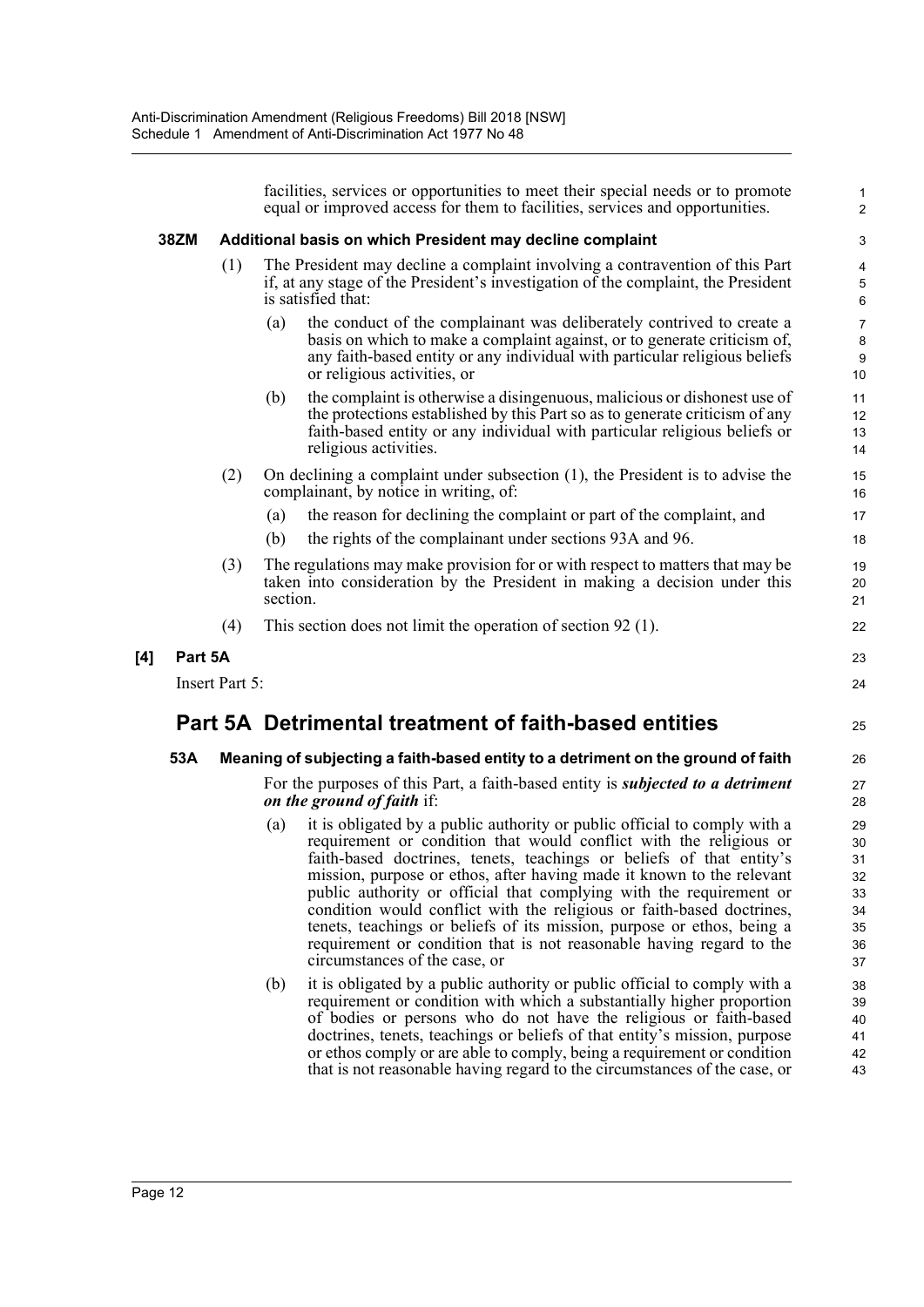facilities, services or opportunities to meet their special needs or to promote equal or improved access for them to facilities, services and opportunities.

1 2

23 24

25

#### **38ZM Additional basis on which President may decline complaint**

- (1) The President may decline a complaint involving a contravention of this Part if, at any stage of the President's investigation of the complaint, the President is satisfied that:
	- (a) the conduct of the complainant was deliberately contrived to create a basis on which to make a complaint against, or to generate criticism of, any faith-based entity or any individual with particular religious beliefs or religious activities, or
	- (b) the complaint is otherwise a disingenuous, malicious or dishonest use of the protections established by this Part so as to generate criticism of any faith-based entity or any individual with particular religious beliefs or religious activities.
- (2) On declining a complaint under subsection (1), the President is to advise the complainant, by notice in writing, of:
	- (a) the reason for declining the complaint or part of the complaint, and
	- (b) the rights of the complainant under sections 93A and 96.
- (3) The regulations may make provision for or with respect to matters that may be taken into consideration by the President in making a decision under this section.
- (4) This section does not limit the operation of section 92 (1).

**[4] Part 5A**

Insert Part 5:

## **Part 5A Detrimental treatment of faith-based entities**

## **53A Meaning of subjecting a faith-based entity to a detriment on the ground of faith**

#### For the purposes of this Part, a faith-based entity is *subjected to a detriment on the ground of faith* if:

- (a) it is obligated by a public authority or public official to comply with a requirement or condition that would conflict with the religious or faith-based doctrines, tenets, teachings or beliefs of that entity's mission, purpose or ethos, after having made it known to the relevant public authority or official that complying with the requirement or condition would conflict with the religious or faith-based doctrines, tenets, teachings or beliefs of its mission, purpose or ethos, being a requirement or condition that is not reasonable having regard to the circumstances of the case, or
- (b) it is obligated by a public authority or public official to comply with a requirement or condition with which a substantially higher proportion of bodies or persons who do not have the religious or faith-based doctrines, tenets, teachings or beliefs of that entity's mission, purpose or ethos comply or are able to comply, being a requirement or condition that is not reasonable having regard to the circumstances of the case, or 38 39 40 41 42 43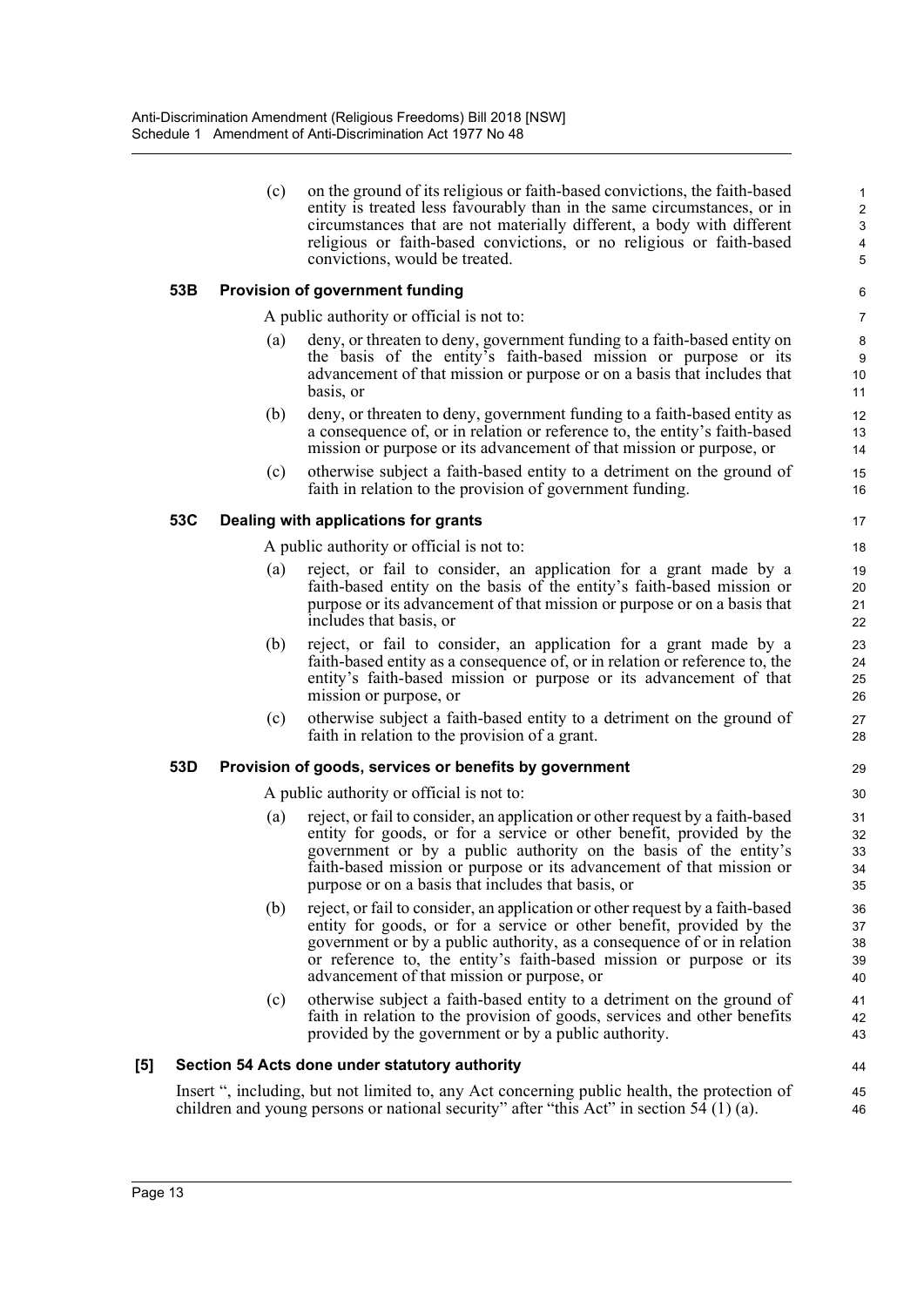| (c) | on the ground of its religious or faith-based convictions, the faith-based |
|-----|----------------------------------------------------------------------------|
|     | entity is treated less favourably than in the same circumstances, or in    |
|     | circumstances that are not materially different, a body with different     |
|     | religious or faith-based convictions, or no religious or faith-based       |
|     | convictions, would be treated.                                             |

## **53B Provision of government funding**

A public authority or official is not to:

- (a) deny, or threaten to deny, government funding to a faith-based entity on the basis of the entity's faith-based mission or purpose or its advancement of that mission or purpose or on a basis that includes that basis, or
- (b) deny, or threaten to deny, government funding to a faith-based entity as a consequence of, or in relation or reference to, the entity's faith-based mission or purpose or its advancement of that mission or purpose, or
- (c) otherwise subject a faith-based entity to a detriment on the ground of faith in relation to the provision of government funding.

#### **53C Dealing with applications for grants**

A public authority or official is not to:

- (a) reject, or fail to consider, an application for a grant made by a faith-based entity on the basis of the entity's faith-based mission or purpose or its advancement of that mission or purpose or on a basis that includes that basis, or
- (b) reject, or fail to consider, an application for a grant made by a faith-based entity as a consequence of, or in relation or reference to, the entity's faith-based mission or purpose or its advancement of that mission or purpose, or
- (c) otherwise subject a faith-based entity to a detriment on the ground of faith in relation to the provision of a grant.

#### **53D Provision of goods, services or benefits by government**

A public authority or official is not to:

- (a) reject, or fail to consider, an application or other request by a faith-based entity for goods, or for a service or other benefit, provided by the government or by a public authority on the basis of the entity's faith-based mission or purpose or its advancement of that mission or purpose or on a basis that includes that basis, or
- (b) reject, or fail to consider, an application or other request by a faith-based entity for goods, or for a service or other benefit, provided by the government or by a public authority, as a consequence of or in relation or reference to, the entity's faith-based mission or purpose or its advancement of that mission or purpose, or
- (c) otherwise subject a faith-based entity to a detriment on the ground of faith in relation to the provision of goods, services and other benefits provided by the government or by a public authority.

## **[5] Section 54 Acts done under statutory authority**

Insert ", including, but not limited to, any Act concerning public health, the protection of children and young persons or national security" after "this Act" in section 54 (1) (a).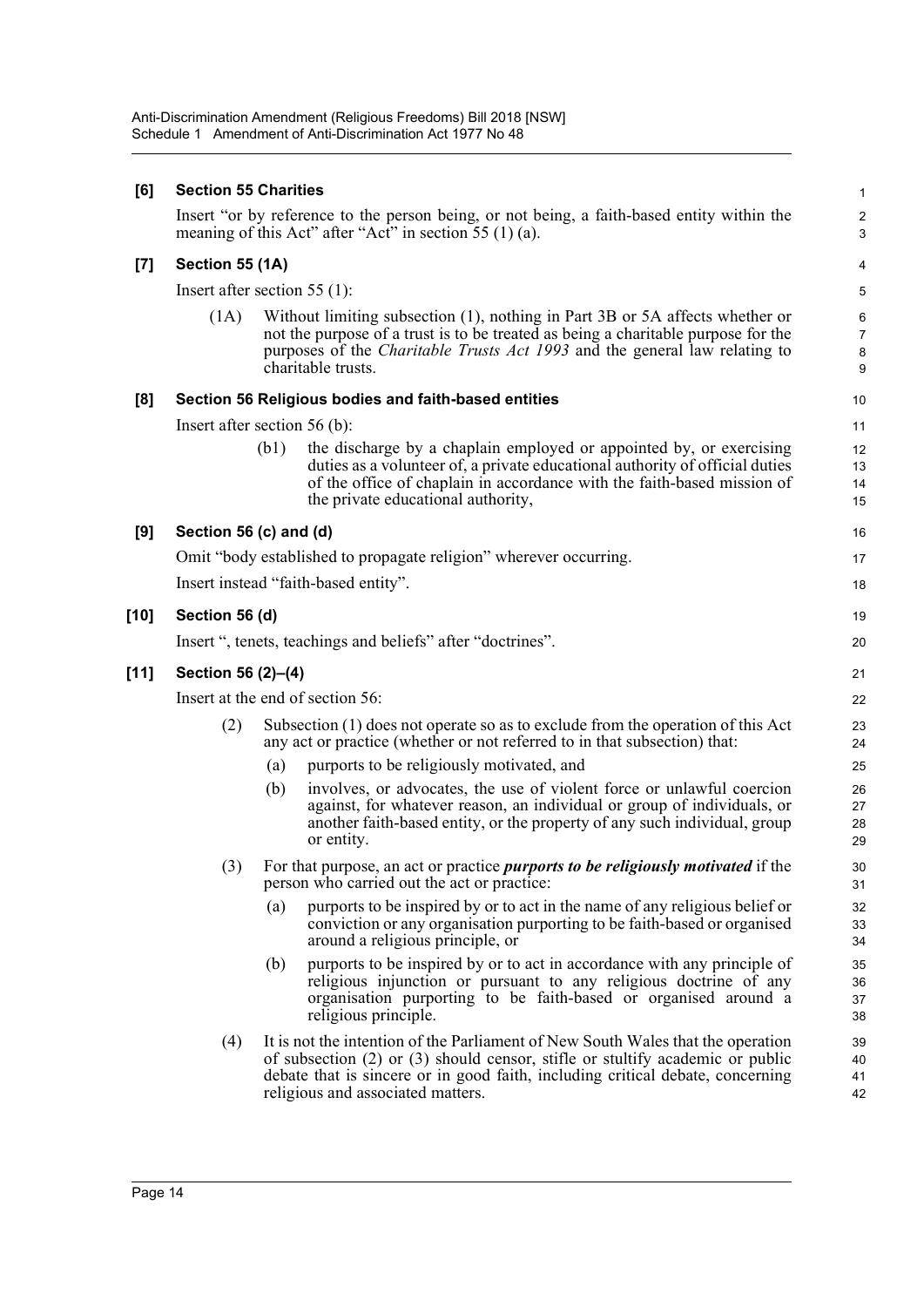## **[6] Section 55 Charities**

Insert "or by reference to the person being, or not being, a faith-based entity within the meaning of this Act" after "Act" in section 55 (1) (a).

## **[7] Section 55 (1A)**

Insert after section 55 (1):

(1A) Without limiting subsection (1), nothing in Part 3B or 5A affects whether or not the purpose of a trust is to be treated as being a charitable purpose for the purposes of the *Charitable Trusts Act 1993* and the general law relating to charitable trusts.

## **[8] Section 56 Religious bodies and faith-based entities**

Insert after section 56 (b):

(b1) the discharge by a chaplain employed or appointed by, or exercising duties as a volunteer of, a private educational authority of official duties of the office of chaplain in accordance with the faith-based mission of the private educational authority,

1  $\overline{2}$ 3

16 17 18

19 20

## **[9] Section 56 (c) and (d)**

Omit "body established to propagate religion" wherever occurring. Insert instead "faith-based entity".

# **[10] Section 56 (d)** Insert ", tenets, teachings and beliefs" after "doctrines". **[11] Section 56 (2)–(4)** Insert at the end of section 56:

- (2) Subsection (1) does not operate so as to exclude from the operation of this Act any act or practice (whether or not referred to in that subsection) that:
	- (a) purports to be religiously motivated, and
	- (b) involves, or advocates, the use of violent force or unlawful coercion against, for whatever reason, an individual or group of individuals, or another faith-based entity, or the property of any such individual, group or entity.
- (3) For that purpose, an act or practice *purports to be religiously motivated* if the person who carried out the act or practice:
	- (a) purports to be inspired by or to act in the name of any religious belief or conviction or any organisation purporting to be faith-based or organised around a religious principle, or
	- (b) purports to be inspired by or to act in accordance with any principle of religious injunction or pursuant to any religious doctrine of any organisation purporting to be faith-based or organised around a religious principle.
- (4) It is not the intention of the Parliament of New South Wales that the operation of subsection (2) or (3) should censor, stifle or stultify academic or public debate that is sincere or in good faith, including critical debate, concerning religious and associated matters.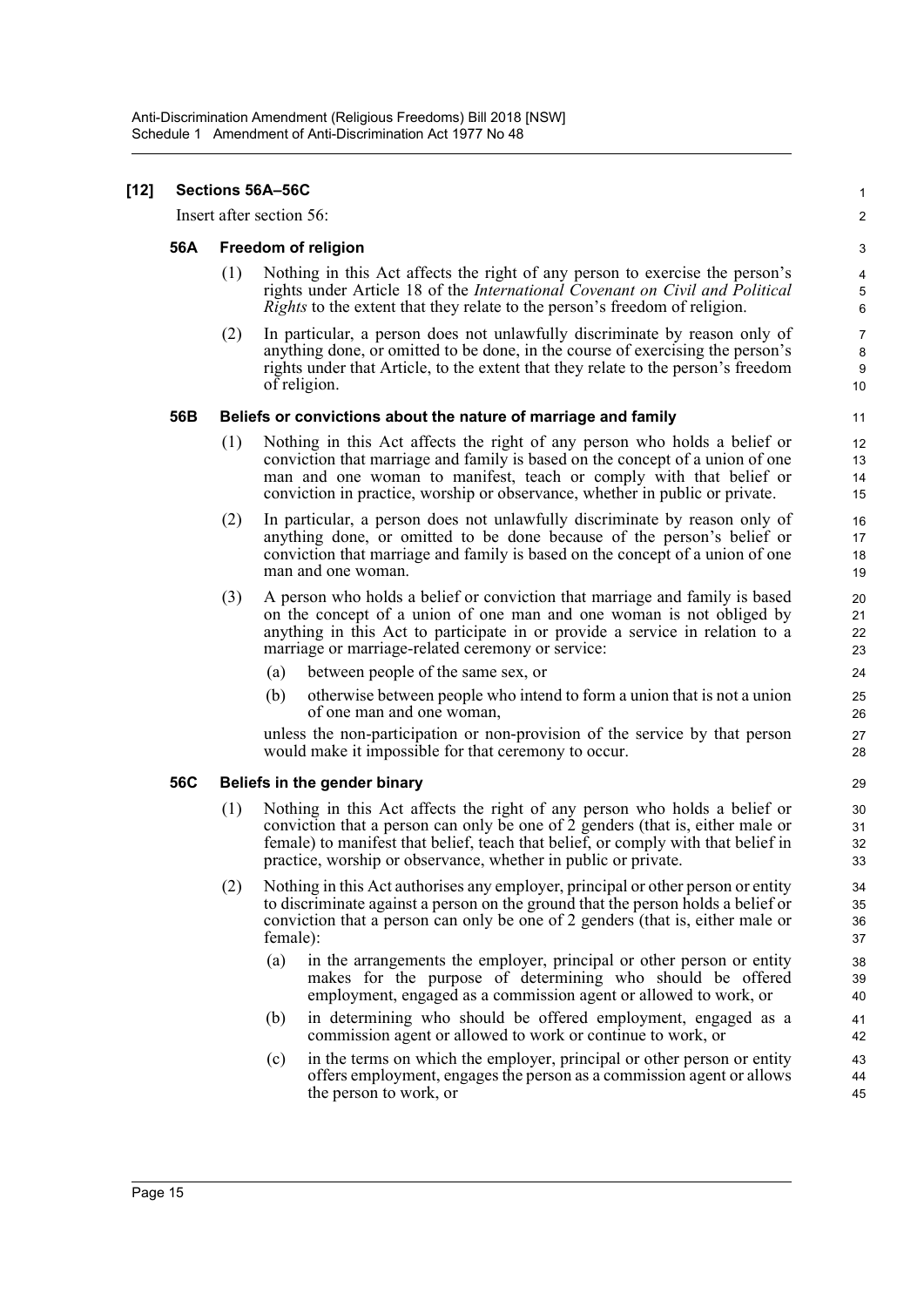#### **[12] Sections 56A–56C**

Insert after section 56:

#### **56A Freedom of religion**

(1) Nothing in this Act affects the right of any person to exercise the person's rights under Article 18 of the *International Covenant on Civil and Political Rights* to the extent that they relate to the person's freedom of religion.

1  $\mathfrak{p}$ 

(2) In particular, a person does not unlawfully discriminate by reason only of anything done, or omitted to be done, in the course of exercising the person's rights under that Article, to the extent that they relate to the person's freedom of religion.

#### **56B Beliefs or convictions about the nature of marriage and family**

- (1) Nothing in this Act affects the right of any person who holds a belief or conviction that marriage and family is based on the concept of a union of one man and one woman to manifest, teach or comply with that belief or conviction in practice, worship or observance, whether in public or private.
- (2) In particular, a person does not unlawfully discriminate by reason only of anything done, or omitted to be done because of the person's belief or conviction that marriage and family is based on the concept of a union of one man and one woman.
- (3) A person who holds a belief or conviction that marriage and family is based on the concept of a union of one man and one woman is not obliged by anything in this Act to participate in or provide a service in relation to a marriage or marriage-related ceremony or service:
	- (a) between people of the same sex, or
	- (b) otherwise between people who intend to form a union that is not a union of one man and one woman,

unless the non-participation or non-provision of the service by that person would make it impossible for that ceremony to occur.

## **56C Beliefs in the gender binary**

- (1) Nothing in this Act affects the right of any person who holds a belief or conviction that a person can only be one of 2 genders (that is, either male or female) to manifest that belief, teach that belief, or comply with that belief in practice, worship or observance, whether in public or private.
- (2) Nothing in this Act authorises any employer, principal or other person or entity to discriminate against a person on the ground that the person holds a belief or conviction that a person can only be one of 2 genders (that is, either male or female):
	- (a) in the arrangements the employer, principal or other person or entity makes for the purpose of determining who should be offered employment, engaged as a commission agent or allowed to work, or
	- (b) in determining who should be offered employment, engaged as a commission agent or allowed to work or continue to work, or
	- (c) in the terms on which the employer, principal or other person or entity offers employment, engages the person as a commission agent or allows the person to work, or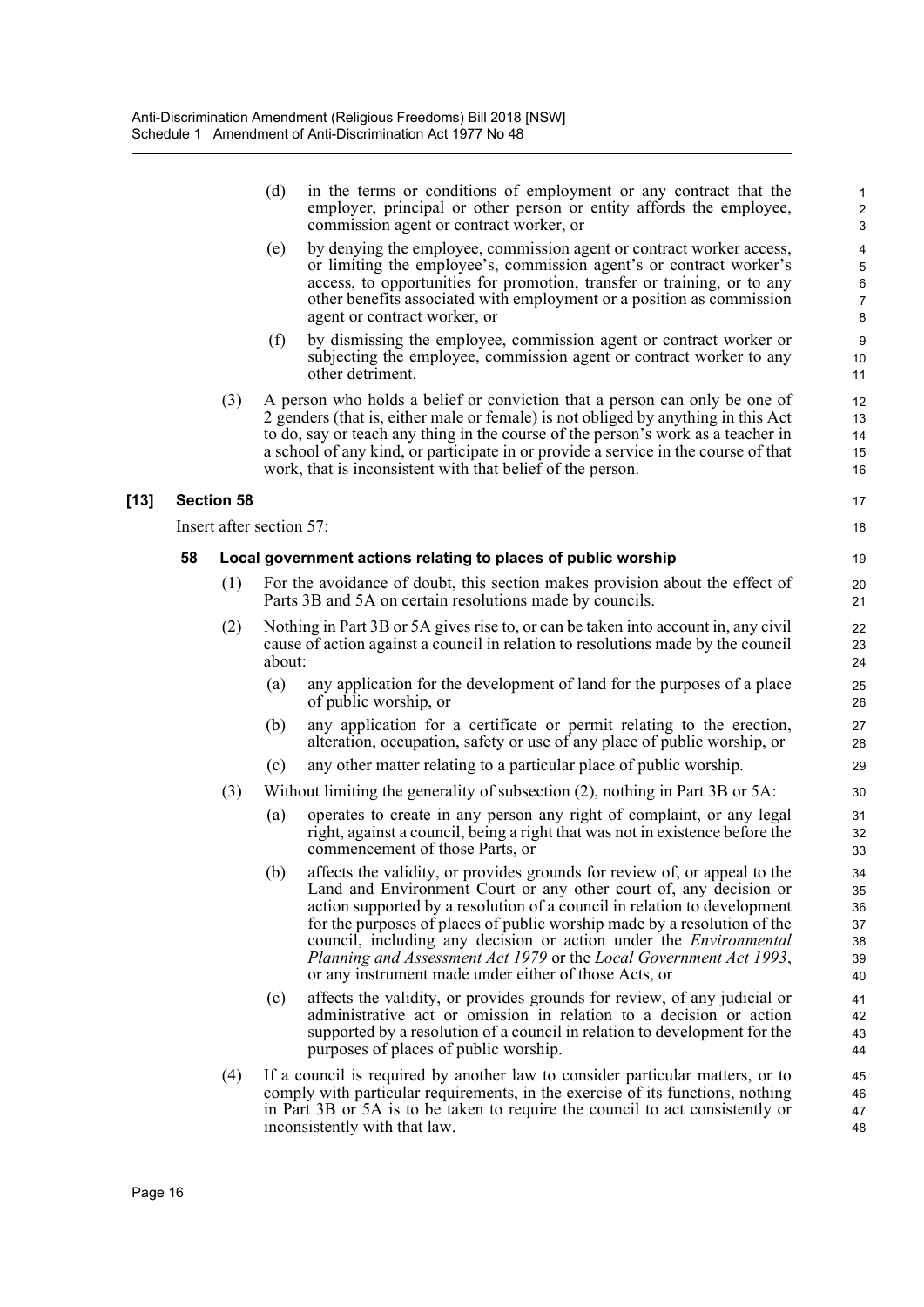|        |    |                          | (d)    | in the terms or conditions of employment or any contract that the<br>employer, principal or other person or entity affords the employee,<br>commission agent or contract worker, or                                                                                                                                                                                                                                                                                                                                   | 1<br>2<br>3                            |
|--------|----|--------------------------|--------|-----------------------------------------------------------------------------------------------------------------------------------------------------------------------------------------------------------------------------------------------------------------------------------------------------------------------------------------------------------------------------------------------------------------------------------------------------------------------------------------------------------------------|----------------------------------------|
|        |    |                          | (e)    | by denying the employee, commission agent or contract worker access,<br>or limiting the employee's, commission agent's or contract worker's<br>access, to opportunities for promotion, transfer or training, or to any<br>other benefits associated with employment or a position as commission<br>agent or contract worker, or                                                                                                                                                                                       | 4<br>5<br>6<br>$\boldsymbol{7}$<br>8   |
|        |    |                          | (f)    | by dismissing the employee, commission agent or contract worker or<br>subjecting the employee, commission agent or contract worker to any<br>other detriment.                                                                                                                                                                                                                                                                                                                                                         | 9<br>10<br>11                          |
|        |    | (3)                      |        | A person who holds a belief or conviction that a person can only be one of<br>2 genders (that is, either male or female) is not obliged by anything in this Act<br>to do, say or teach any thing in the course of the person's work as a teacher in<br>a school of any kind, or participate in or provide a service in the course of that<br>work, that is inconsistent with that belief of the person.                                                                                                               | 12<br>13<br>14<br>15<br>16             |
| $[13]$ |    | <b>Section 58</b>        |        |                                                                                                                                                                                                                                                                                                                                                                                                                                                                                                                       | 17                                     |
|        |    | Insert after section 57: |        |                                                                                                                                                                                                                                                                                                                                                                                                                                                                                                                       | 18                                     |
|        | 58 |                          |        | Local government actions relating to places of public worship                                                                                                                                                                                                                                                                                                                                                                                                                                                         | 19                                     |
|        |    | (1)                      |        | For the avoidance of doubt, this section makes provision about the effect of<br>Parts 3B and 5A on certain resolutions made by councils.                                                                                                                                                                                                                                                                                                                                                                              | 20<br>21                               |
|        |    | (2)                      | about: | Nothing in Part 3B or 5A gives rise to, or can be taken into account in, any civil<br>cause of action against a council in relation to resolutions made by the council                                                                                                                                                                                                                                                                                                                                                | 22<br>23<br>24                         |
|        |    |                          | (a)    | any application for the development of land for the purposes of a place<br>of public worship, or                                                                                                                                                                                                                                                                                                                                                                                                                      | 25<br>26                               |
|        |    |                          | (b)    | any application for a certificate or permit relating to the erection,<br>alteration, occupation, safety or use of any place of public worship, or                                                                                                                                                                                                                                                                                                                                                                     | 27<br>28                               |
|        |    |                          | (c)    | any other matter relating to a particular place of public worship.                                                                                                                                                                                                                                                                                                                                                                                                                                                    | 29                                     |
|        |    | (3)                      |        | Without limiting the generality of subsection $(2)$ , nothing in Part 3B or 5A:                                                                                                                                                                                                                                                                                                                                                                                                                                       | 30                                     |
|        |    |                          | (a)    | operates to create in any person any right of complaint, or any legal<br>right, against a council, being a right that was not in existence before the<br>commencement of those Parts, or                                                                                                                                                                                                                                                                                                                              | 31<br>32<br>33                         |
|        |    |                          |        | (b) affects the validity, or provides grounds for review of, or appeal to the<br>Land and Environment Court or any other court of, any decision or<br>action supported by a resolution of a council in relation to development<br>for the purposes of places of public worship made by a resolution of the<br>council, including any decision or action under the <i>Environmental</i><br>Planning and Assessment Act 1979 or the Local Government Act 1993,<br>or any instrument made under either of those Acts, or | 34<br>35<br>36<br>37<br>38<br>39<br>40 |
|        |    |                          | (c)    | affects the validity, or provides grounds for review, of any judicial or<br>administrative act or omission in relation to a decision or action<br>supported by a resolution of a council in relation to development for the<br>purposes of places of public worship.                                                                                                                                                                                                                                                  | 41<br>42<br>43<br>44                   |
|        |    | (4)                      |        | If a council is required by another law to consider particular matters, or to<br>comply with particular requirements, in the exercise of its functions, nothing<br>in Part 3B or 5A is to be taken to require the council to act consistently or<br>inconsistently with that law.                                                                                                                                                                                                                                     | 45<br>46<br>47<br>48                   |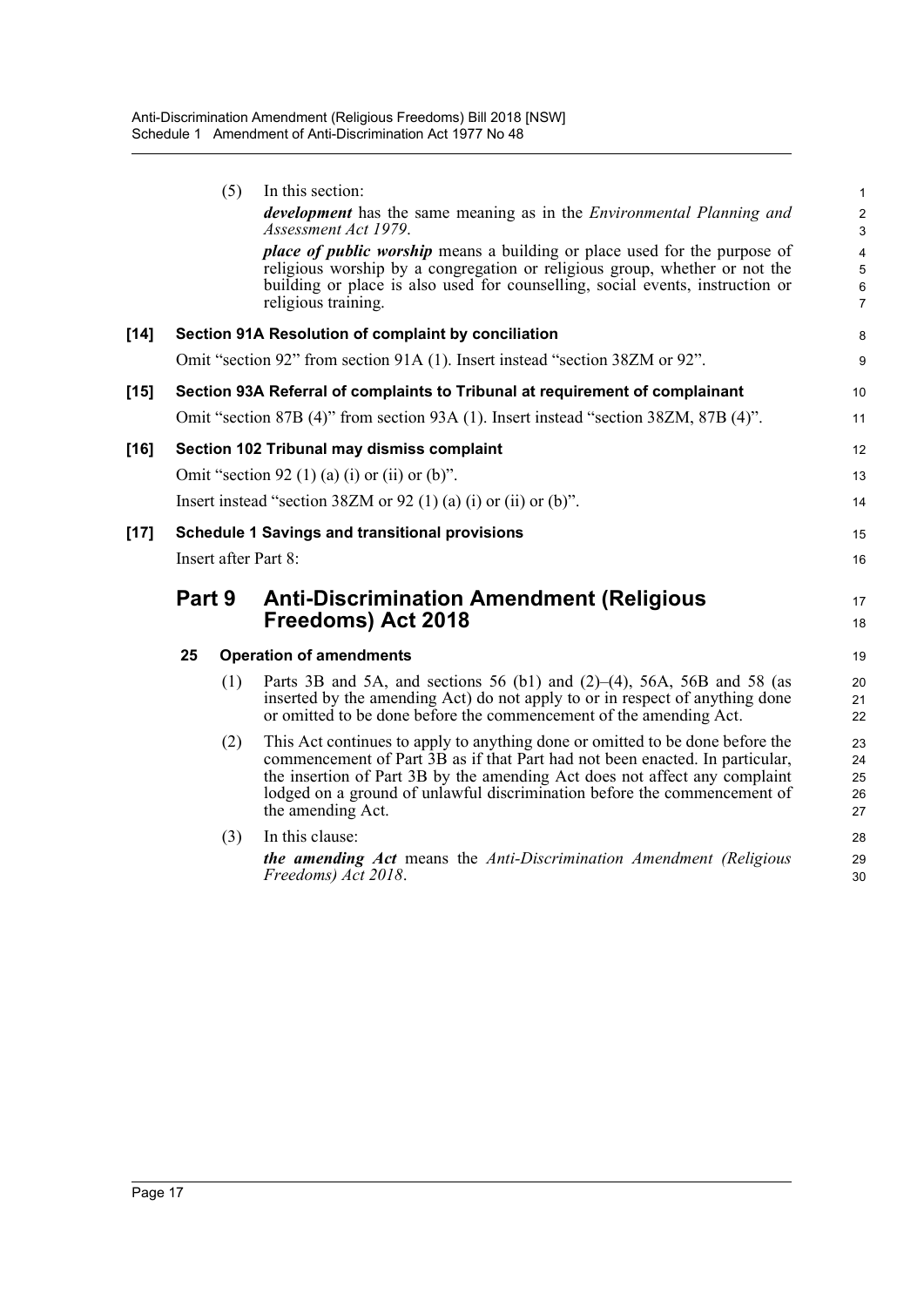|        |        | (5) | In this section:                                                                                                                                                                                                                                                                                                                             | 1                             |
|--------|--------|-----|----------------------------------------------------------------------------------------------------------------------------------------------------------------------------------------------------------------------------------------------------------------------------------------------------------------------------------------------|-------------------------------|
|        |        |     | <i>development</i> has the same meaning as in the <i>Environmental Planning and</i><br>Assessment Act 1979.                                                                                                                                                                                                                                  | $\overline{\mathbf{c}}$<br>3  |
|        |        |     | <i>place of public worship</i> means a building or place used for the purpose of<br>religious worship by a congregation or religious group, whether or not the<br>building or place is also used for counselling, social events, instruction or<br>religious training.                                                                       | 4<br>5<br>6<br>$\overline{7}$ |
| $[14]$ |        |     | Section 91A Resolution of complaint by conciliation                                                                                                                                                                                                                                                                                          | 8                             |
|        |        |     | Omit "section 92" from section 91A (1). Insert instead "section 38ZM or 92".                                                                                                                                                                                                                                                                 | 9                             |
| $[15]$ |        |     | Section 93A Referral of complaints to Tribunal at requirement of complainant                                                                                                                                                                                                                                                                 | 10                            |
|        |        |     | Omit "section 87B (4)" from section 93A (1). Insert instead "section 38ZM, 87B (4)".                                                                                                                                                                                                                                                         | 11                            |
| [16]   |        |     | Section 102 Tribunal may dismiss complaint                                                                                                                                                                                                                                                                                                   | 12                            |
|        |        |     | Omit "section 92 (1) (a) (i) or (ii) or (b)".                                                                                                                                                                                                                                                                                                | 13                            |
|        |        |     | Insert instead "section 38ZM or 92 (1) (a) (i) or (ii) or (b)".                                                                                                                                                                                                                                                                              | 14                            |
| [17]   |        |     | <b>Schedule 1 Savings and transitional provisions</b>                                                                                                                                                                                                                                                                                        | 15                            |
|        |        |     | <b>Insert after Part 8:</b>                                                                                                                                                                                                                                                                                                                  | 16                            |
|        | Part 9 |     | <b>Anti-Discrimination Amendment (Religious</b><br>Freedoms) Act 2018                                                                                                                                                                                                                                                                        | 17<br>18                      |
|        | 25     |     | <b>Operation of amendments</b>                                                                                                                                                                                                                                                                                                               | 19                            |
|        |        | (1) | Parts 3B and 5A, and sections 56 (b1) and $(2)$ –(4), 56A, 56B and 58 (as<br>inserted by the amending Act) do not apply to or in respect of anything done<br>or omitted to be done before the commencement of the amending Act.                                                                                                              | 20<br>21<br>22                |
|        |        | (2) | This Act continues to apply to anything done or omitted to be done before the<br>commencement of Part 3B as if that Part had not been enacted. In particular,<br>the insertion of Part 3B by the amending Act does not affect any complaint<br>lodged on a ground of unlawful discrimination before the commencement of<br>the amending Act. | 23<br>24<br>25<br>26<br>27    |
|        |        | (3) | In this clause:                                                                                                                                                                                                                                                                                                                              | 28                            |
|        |        |     | <b>the amending Act</b> means the Anti-Discrimination Amendment (Religious<br>Freedoms) Act 2018.                                                                                                                                                                                                                                            | 29<br>30                      |
|        |        |     |                                                                                                                                                                                                                                                                                                                                              |                               |